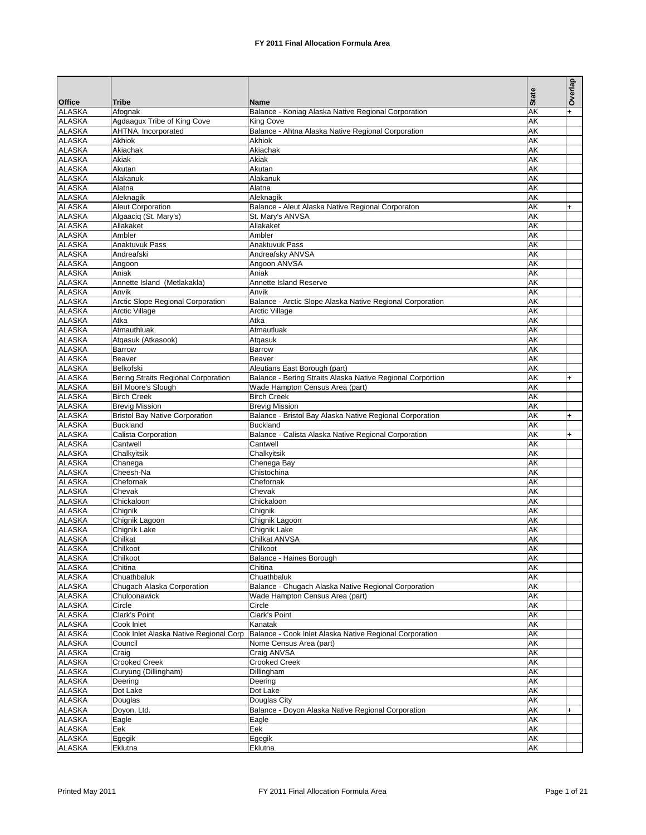|                                |                                                      |                                                                    | <b>State</b> | Overlap        |
|--------------------------------|------------------------------------------------------|--------------------------------------------------------------------|--------------|----------------|
| <b>Office</b><br><b>ALASKA</b> | <b>Tribe</b><br>Afognak                              | Name<br>Balance - Koniag Alaska Native Regional Corporation        | <b>AK</b>    | $\ddot{}$      |
| <b>ALASKA</b>                  | Agdaagux Tribe of King Cove                          | King Cove                                                          | AK           |                |
| <b>ALASKA</b>                  | AHTNA, Incorporated                                  | Balance - Ahtna Alaska Native Regional Corporation                 | AK           |                |
| <b>ALASKA</b>                  | Akhiok                                               | Akhiok                                                             | AK           |                |
| <b>ALASKA</b>                  | Akiachak                                             | Akiachak                                                           | AK           |                |
| <b>ALASKA</b>                  | Akiak                                                | Akiak                                                              | AK           |                |
| <b>ALASKA</b>                  | Akutan                                               | Akutan                                                             | AK           |                |
| <b>ALASKA</b><br><b>ALASKA</b> | Alakanuk<br>Alatna                                   | Alakanuk<br>Alatna                                                 | AK<br>AK     |                |
| <b>ALASKA</b>                  | Aleknagik                                            | Aleknagik                                                          | AK           |                |
| <b>ALASKA</b>                  | Aleut Corporation                                    | Balance - Aleut Alaska Native Regional Corporaton                  | AK           | $+$            |
| <b>ALASKA</b>                  | Algaacig (St. Mary's)                                | St. Mary's ANVSA                                                   | AK           |                |
| <b>ALASKA</b>                  | Allakaket                                            | Allakaket                                                          | AK           |                |
| <b>ALASKA</b>                  | Ambler                                               | Ambler                                                             | AK           |                |
| <b>ALASKA</b>                  | Anaktuvuk Pass                                       | Anaktuvuk Pass                                                     | AK           |                |
| <b>ALASKA</b>                  | Andreafski                                           | Andreafsky ANVSA                                                   | AK           |                |
| <b>ALASKA</b><br><b>ALASKA</b> | Angoon<br>Aniak                                      | Angoon ANVSA<br>Aniak                                              | AK<br>AK     |                |
| <b>ALASKA</b>                  | Annette Island (Metlakakla)                          | Annette Island Reserve                                             | AK           |                |
| <b>ALASKA</b>                  | Anvik                                                | Anvik                                                              | AK           |                |
| <b>ALASKA</b>                  | <b>Arctic Slope Regional Corporation</b>             | Balance - Arctic Slope Alaska Native Regional Corporation          | AK           |                |
| <b>ALASKA</b>                  | <b>Arctic Village</b>                                | <b>Arctic Village</b>                                              | AK           |                |
| <b>ALASKA</b>                  | Atka                                                 | Atka                                                               | AK           |                |
| <b>ALASKA</b>                  | Atmauthluak                                          | Atmautluak                                                         | AK           |                |
| <b>ALASKA</b>                  | Atgasuk (Atkasook)                                   | Atgasuk                                                            | AK           |                |
| <b>ALASKA</b>                  | Barrow                                               | Barrow                                                             | AK           |                |
| <b>ALASKA</b><br><b>ALASKA</b> | Beaver<br>Belkofski                                  | Beaver<br>Aleutians East Borough (part)                            | AK<br>AK     |                |
| <b>ALASKA</b>                  | Bering Straits Regional Corporation                  | Balance - Bering Straits Alaska Native Regional Corportion         | AK           | $\ddot{}$      |
| <b>ALASKA</b>                  | <b>Bill Moore's Slough</b>                           | Wade Hampton Census Area (part)                                    | AK           |                |
| <b>ALASKA</b>                  | <b>Birch Creek</b>                                   | <b>Birch Creek</b>                                                 | AK           |                |
| <b>ALASKA</b>                  | <b>Brevig Mission</b>                                | <b>Brevig Mission</b>                                              | AK           |                |
| <b>ALASKA</b>                  | <b>Bristol Bay Native Corporation</b>                | Balance - Bristol Bay Alaska Native Regional Corporation           | AK           | $\overline{+}$ |
| <b>ALASKA</b>                  | <b>Buckland</b>                                      | <b>Buckland</b>                                                    | AK           |                |
| <b>ALASKA</b>                  | Calista Corporation                                  | Balance - Calista Alaska Native Regional Corporation               | AK           | $+$            |
| <b>ALASKA</b><br><b>ALASKA</b> | Cantwell<br>Chalkyitsik                              | Cantwell<br>Chalkyitsik                                            | AK<br>AK     |                |
| <b>ALASKA</b>                  | Chanega                                              | Chenega Bay                                                        | AK           |                |
| <b>ALASKA</b>                  | Cheesh-Na                                            | Chistochina                                                        | AK           |                |
| <b>ALASKA</b>                  | Chefornak                                            | Chefornak                                                          | <b>AK</b>    |                |
| <b>ALASKA</b>                  | Chevak                                               | Chevak                                                             | AK           |                |
| <b>ALASKA</b>                  | Chickaloon                                           | Chickaloon                                                         | <b>AK</b>    |                |
| <b>ALASKA</b>                  | Chignik                                              | Chignik                                                            | <b>AK</b>    |                |
| <b>ALASKA</b>                  | Chignik Lagoon                                       | Chignik Lagoon                                                     | AK           |                |
| <b>ALASKA</b><br><b>ALASKA</b> | Chignik Lake<br>Chilkat                              | Chignik Lake<br>Chilkat ANVSA                                      | AK<br>AK     |                |
| <b>ALASKA</b>                  | Chilkoot                                             | Chilkoot                                                           | AK           |                |
| <b>ALASKA</b>                  | Chilkoot                                             | Balance - Haines Borough                                           | AΚ           |                |
| <b>ALASKA</b>                  | Chitina                                              | Chitina                                                            | AΚ           |                |
| <b>ALASKA</b>                  | Chuathbaluk                                          | Chuathbaluk                                                        | AΚ           |                |
| <b>ALASKA</b>                  | Chugach Alaska Corporation                           | Balance - Chugach Alaska Native Regional Corporation               | AK           |                |
| <b>ALASKA</b>                  | Chuloonawick                                         | Wade Hampton Census Area (part)                                    | AΚ           |                |
| <b>ALASKA</b>                  | Circle                                               | Circle                                                             | AK           |                |
| <b>ALASKA</b>                  | Clark's Point                                        | Clark's Point                                                      | AΚ           |                |
| <b>ALASKA</b><br><b>ALASKA</b> | Cook Inlet<br>Cook Inlet Alaska Native Regional Corp | Kanatak<br>Balance - Cook Inlet Alaska Native Regional Corporation | AΚ<br>AΚ     |                |
| <b>ALASKA</b>                  | Council                                              | Nome Census Area (part)                                            | AΚ           |                |
| <b>ALASKA</b>                  | Craig                                                | Craig ANVSA                                                        | AΚ           |                |
| <b>ALASKA</b>                  | <b>Crooked Creek</b>                                 | <b>Crooked Creek</b>                                               | AΚ           |                |
| <b>ALASKA</b>                  | Curyung (Dillingham)                                 | Dillingham                                                         | AΚ           |                |
| <b>ALASKA</b>                  | Deering                                              | Deering                                                            | AΚ           |                |
| <b>ALASKA</b>                  | Dot Lake                                             | Dot Lake                                                           | AΚ           |                |
| <b>ALASKA</b>                  | Douglas                                              | Douglas City                                                       | AK           |                |
| <b>ALASKA</b>                  | Doyon, Ltd.                                          | Balance - Doyon Alaska Native Regional Corporation                 | AΚ           | $\ddot{}$      |
| <b>ALASKA</b><br><b>ALASKA</b> | Eagle<br>Eek                                         | Eagle<br>Eek                                                       | AK<br>AΚ     |                |
| <b>ALASKA</b>                  | Egegik                                               | Egegik                                                             | AΚ           |                |
| <b>ALASKA</b>                  | Eklutna                                              | Eklutna                                                            | AΚ           |                |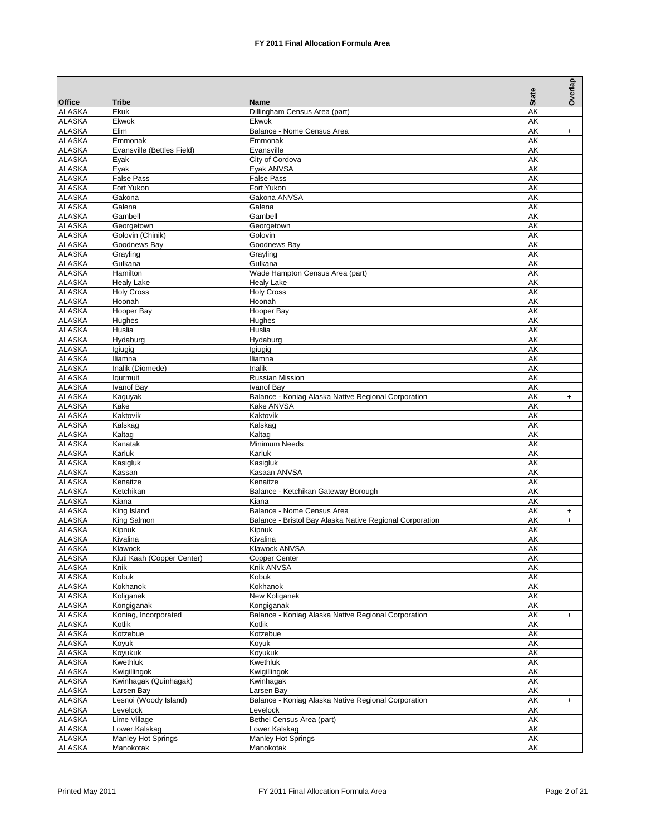|                                |                                  |                                                                                        |                        | Overlap          |
|--------------------------------|----------------------------------|----------------------------------------------------------------------------------------|------------------------|------------------|
| <b>Office</b>                  | Tribe                            | Name                                                                                   | <b>State</b>           |                  |
| <b>ALASKA</b>                  | Ekuk                             | Dillingham Census Area (part)                                                          | AK                     |                  |
| <b>ALASKA</b><br><b>ALASKA</b> | Ekwok<br>Elim                    | Ekwok<br>Balance - Nome Census Area                                                    | AK<br>AK               | $+$              |
| <b>ALASKA</b>                  | Emmonak                          | Emmonak                                                                                | AK                     |                  |
| <b>ALASKA</b>                  | Evansville (Bettles Field)       | Evansville                                                                             | AK                     |                  |
| <b>ALASKA</b>                  | Eyak                             | City of Cordova                                                                        | AK                     |                  |
| <b>ALASKA</b><br><b>ALASKA</b> | Eyak<br><b>False Pass</b>        | Eyak ANVSA<br><b>False Pass</b>                                                        | AK<br>AK               |                  |
| <b>ALASKA</b>                  | Fort Yukon                       | Fort Yukon                                                                             | AK                     |                  |
| <b>ALASKA</b>                  | Gakona                           | Gakona ANVSA                                                                           | AK                     |                  |
| <b>ALASKA</b>                  | Galena                           | Galena                                                                                 | ΑK                     |                  |
| <b>ALASKA</b>                  | Gambell                          | Gambell                                                                                | AK                     |                  |
| <b>ALASKA</b>                  | Georgetown                       | Georgetown                                                                             | AK                     |                  |
| <b>ALASKA</b><br><b>ALASKA</b> | Golovin (Chinik)<br>Goodnews Bay | Golovin<br>Goodnews Bay                                                                | AK<br>AK               |                  |
| <b>ALASKA</b>                  | Grayling                         | Grayling                                                                               | AK                     |                  |
| <b>ALASKA</b>                  | Gulkana                          | Gulkana                                                                                | AK                     |                  |
| <b>ALASKA</b>                  | Hamilton                         | Wade Hampton Census Area (part)                                                        | AK                     |                  |
| <b>ALASKA</b>                  | <b>Healy Lake</b>                | <b>Healy Lake</b>                                                                      | AK                     |                  |
| <b>ALASKA</b><br><b>ALASKA</b> | <b>Holy Cross</b><br>Hoonah      | <b>Holy Cross</b><br>Hoonah                                                            | AK<br>AK               |                  |
| <b>ALASKA</b>                  | Hooper Bay                       | Hooper Bay                                                                             | AK                     |                  |
| <b>ALASKA</b>                  | Hughes                           | Hughes                                                                                 | AK                     |                  |
| <b>ALASKA</b>                  | Huslia                           | Huslia                                                                                 | AK                     |                  |
| <b>ALASKA</b>                  | Hydaburg                         | Hydaburg                                                                               | ΑK                     |                  |
| <b>ALASKA</b>                  | Igiugig                          | Igiugig                                                                                | AK                     |                  |
| <b>ALASKA</b>                  | Iliamna                          | Iliamna                                                                                | ΑK                     |                  |
| <b>ALASKA</b><br><b>ALASKA</b> | Inalik (Diomede)<br>laurmuit     | Inalik<br>Russian Mission                                                              | AK<br>AK               |                  |
| <b>ALASKA</b>                  | <b>Ivanof Bay</b>                | Ivanof Bay                                                                             | AK                     |                  |
| <b>ALASKA</b>                  | Kaguyak                          | Balance - Koniag Alaska Native Regional Corporation                                    | AK                     | $\ddot{}$        |
| <b>ALASKA</b>                  | Kake                             | Kake ANVSA                                                                             | AK                     |                  |
| <b>ALASKA</b>                  | Kaktovik                         | Kaktovik                                                                               | AK                     |                  |
| <b>ALASKA</b>                  | Kalskag                          | Kalskag                                                                                | AK                     |                  |
| <b>ALASKA</b><br><b>ALASKA</b> | Kaltag<br>Kanatak                | Kaltag<br>Minimum Needs                                                                | AK<br>AK               |                  |
| <b>ALASKA</b>                  | Karluk                           | Karluk                                                                                 | AK                     |                  |
| <b>ALASKA</b>                  | Kasigluk                         | Kasigluk                                                                               | <b>AK</b>              |                  |
| <b>ALASKA</b>                  | Kassan                           | Kasaan ANVSA                                                                           | AK                     |                  |
| <b>ALASKA</b>                  | Kenaitze                         | Kenaitze                                                                               | AK                     |                  |
| <b>ALASKA</b>                  | Ketchikan                        | Balance - Ketchikan Gateway Borough                                                    | <b>AK</b>              |                  |
| <b>ALASKA</b>                  | Kiana                            | Kiana                                                                                  | AK                     |                  |
| <b>ALASKA</b><br><b>ALASKA</b> | King Island<br>King Salmon       | Balance - Nome Census Area<br>Balance - Bristol Bay Alaska Native Regional Corporation | AK<br>AK               | $+$<br>$\ddot{}$ |
| <b>ALASKA</b>                  | Kipnuk                           | Kipnuk                                                                                 | AK                     |                  |
| <b>ALASKA</b>                  | Kivalina                         | Kivalina                                                                               | <b>AK</b>              |                  |
| <b>ALASKA</b>                  | Klawock                          | Klawock ANVSA                                                                          | AK                     |                  |
| <b>ALASKA</b>                  | Kluti Kaah (Copper Center)       | <b>Copper Center</b>                                                                   | <b>AK</b>              |                  |
| <b>ALASKA</b>                  | Knik                             | Knik ANVSA                                                                             | AK                     |                  |
| <b>ALASKA</b><br><b>ALASKA</b> | Kobuk<br>Kokhanok                | Kobuk<br>Kokhanok                                                                      | AK<br><b>AK</b>        |                  |
| <b>ALASKA</b>                  | Koliganek                        | New Koliganek                                                                          | <b>AK</b>              |                  |
| <b>ALASKA</b>                  | Kongiganak                       | Kongiganak                                                                             | <b>AK</b>              |                  |
| <b>ALASKA</b>                  | Koniag, Incorporated             | Balance - Koniag Alaska Native Regional Corporation                                    | <b>AK</b>              | $\ddot{}$        |
| <b>ALASKA</b>                  | Kotlik                           | Kotlik                                                                                 | <b>AK</b>              |                  |
| <b>ALASKA</b>                  | Kotzebue                         | Kotzebue                                                                               | <b>AK</b>              |                  |
| <b>ALASKA</b>                  | Koyuk<br>Koyukuk                 | Koyuk                                                                                  | <b>AK</b>              |                  |
| <b>ALASKA</b><br><b>ALASKA</b> | Kwethluk                         | Koyukuk<br>Kwethluk                                                                    | AK<br><b>AK</b>        |                  |
| <b>ALASKA</b>                  | Kwigillingok                     | Kwigillingok                                                                           | <b>AK</b>              |                  |
| <b>ALASKA</b>                  | Kwinhagak (Quinhagak)            | Kwinhagak                                                                              | <b>AK</b>              |                  |
| <b>ALASKA</b>                  | Larsen Bay                       | Larsen Bay                                                                             | <b>AK</b>              |                  |
| <b>ALASKA</b>                  | Lesnoi (Woody Island)            | Balance - Koniag Alaska Native Regional Corporation                                    | <b>AK</b>              | $\ddot{}$        |
| <b>ALASKA</b>                  | Levelock                         | Levelock<br>Bethel Census Area (part)                                                  | <b>AK</b><br><b>AK</b> |                  |
| <b>ALASKA</b><br><b>ALASKA</b> | Lime Village<br>Lower.Kalskag    | Lower Kalskag                                                                          | <b>AK</b>              |                  |
| <b>ALASKA</b>                  | <b>Manley Hot Springs</b>        | <b>Manley Hot Springs</b>                                                              | <b>AK</b>              |                  |
| <b>ALASKA</b>                  | Manokotak                        | Manokotak                                                                              | AΚ                     |                  |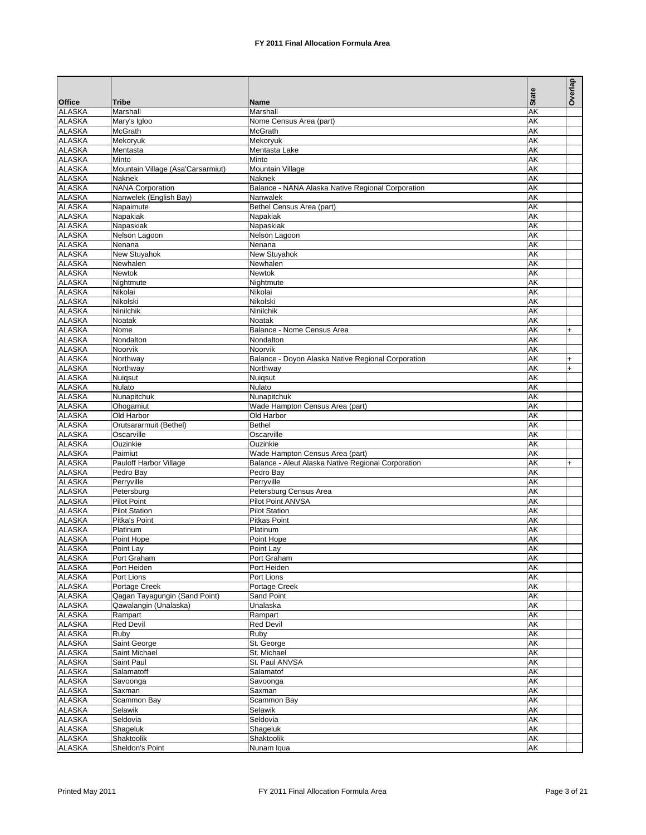|                                |                                                   |                                                               | <b>State</b>           | Overlap   |
|--------------------------------|---------------------------------------------------|---------------------------------------------------------------|------------------------|-----------|
| <b>Office</b><br><b>ALASKA</b> | <b>Tribe</b><br>Marshall                          | <b>Name</b><br>Marshall                                       | <b>AK</b>              |           |
| <b>ALASKA</b>                  | Mary's Igloo                                      | Nome Census Area (part)                                       | <b>AK</b>              |           |
| <b>ALASKA</b>                  | McGrath                                           | McGrath                                                       | AK                     |           |
| <b>ALASKA</b>                  | Mekoryuk                                          | Mekoryuk                                                      | <b>AK</b>              |           |
| <b>ALASKA</b>                  | Mentasta                                          | Mentasta Lake                                                 | AK                     |           |
| <b>ALASKA</b>                  | Minto                                             | Minto                                                         | <b>AK</b>              |           |
| <b>ALASKA</b>                  | Mountain Village (Asa'Carsarmiut)                 | Mountain Village                                              | <b>AK</b>              |           |
| <b>ALASKA</b>                  | Naknek                                            | <b>Naknek</b>                                                 | <b>AK</b><br><b>AK</b> |           |
| <b>ALASKA</b><br><b>ALASKA</b> | <b>NANA Corporation</b><br>Nanwelek (English Bay) | Balance - NANA Alaska Native Regional Corporation<br>Nanwalek | <b>AK</b>              |           |
| <b>ALASKA</b>                  | Napaimute                                         | Bethel Census Area (part)                                     | AK                     |           |
| <b>ALASKA</b>                  | Napakiak                                          | Napakiak                                                      | <b>AK</b>              |           |
| <b>ALASKA</b>                  | Napaskiak                                         | Napaskiak                                                     | AK                     |           |
| <b>ALASKA</b>                  | Nelson Lagoon                                     | Nelson Lagoon                                                 | <b>AK</b>              |           |
| <b>ALASKA</b>                  | Nenana                                            | Nenana                                                        | AK                     |           |
| <b>ALASKA</b>                  | New Stuyahok                                      | New Stuyahok                                                  | <b>AK</b>              |           |
| <b>ALASKA</b>                  | Newhalen                                          | Newhalen                                                      | <b>AK</b>              |           |
| <b>ALASKA</b>                  | Newtok                                            | Newtok                                                        | <b>AK</b>              |           |
| <b>ALASKA</b><br><b>ALASKA</b> | Nightmute<br>Nikolai                              | Nightmute<br>Nikolai                                          | <b>AK</b><br><b>AK</b> |           |
| <b>ALASKA</b>                  | Nikolski                                          | Nikolski                                                      | <b>AK</b>              |           |
| <b>ALASKA</b>                  | Ninilchik                                         | Ninilchik                                                     | <b>AK</b>              |           |
| <b>ALASKA</b>                  | Noatak                                            | Noatak                                                        | AK                     |           |
| <b>ALASKA</b>                  | Nome                                              | Balance - Nome Census Area                                    | <b>AK</b>              | $\ddot{}$ |
| <b>ALASKA</b>                  | Nondalton                                         | Nondalton                                                     | AK                     |           |
| <b>ALASKA</b>                  | Noorvik                                           | Noorvik                                                       | <b>AK</b>              |           |
| <b>ALASKA</b>                  | Northway                                          | Balance - Doyon Alaska Native Regional Corporation            | AK                     | $+$       |
| <b>ALASKA</b>                  | Northway                                          | Northwav                                                      | <b>AK</b>              | $+$       |
| <b>ALASKA</b>                  | Nuigsut                                           | Nuigsut                                                       | AK                     |           |
| <b>ALASKA</b><br><b>ALASKA</b> | Nulato<br>Nunapitchuk                             | Nulato<br>Nunapitchuk                                         | <b>AK</b><br>AK        |           |
| <b>ALASKA</b>                  | Ohogamiut                                         | Wade Hampton Census Area (part)                               | <b>AK</b>              |           |
| <b>ALASKA</b>                  | Old Harbor                                        | Old Harbor                                                    | <b>AK</b>              |           |
| <b>ALASKA</b>                  | Orutsararmuit (Bethel)                            | <b>Bethel</b>                                                 | <b>AK</b>              |           |
| <b>ALASKA</b>                  | Oscarville                                        | Oscarville                                                    | <b>AK</b>              |           |
| <b>ALASKA</b>                  | Ouzinkie                                          | Ouzinkie                                                      | <b>AK</b>              |           |
| <b>ALASKA</b>                  | Paimiut                                           | Wade Hampton Census Area (part)                               | AK                     |           |
| <b>ALASKA</b>                  | Pauloff Harbor Village                            | Balance - Aleut Alaska Native Regional Corporation            | AK                     | $\ddot{}$ |
| <b>ALASKA</b><br><b>ALASKA</b> | Pedro Bay                                         | Pedro Bay                                                     | AK<br>AK               |           |
| <b>ALASKA</b>                  | Perryville<br>Petersburg                          | Perryville<br>Petersburg Census Area                          | AK                     |           |
| <b>ALASKA</b>                  | <b>Pilot Point</b>                                | Pilot Point ANVSA                                             | AK                     |           |
| <b>ALASKA</b>                  | <b>Pilot Station</b>                              | <b>Pilot Station</b>                                          | AK                     |           |
| <b>ALASKA</b>                  | Pitka's Point                                     | <b>Pitkas Point</b>                                           | AK                     |           |
| <b>ALASKA</b>                  | Platinum                                          | Platinum                                                      | AK                     |           |
| <b>ALASKA</b>                  | Point Hope                                        | Point Hope                                                    | AΚ                     |           |
| <b>ALASKA</b>                  | Point Lay                                         | Point Lay                                                     | ΑK                     |           |
| <b>ALASKA</b>                  | Port Graham                                       | Port Graham                                                   | <b>AK</b>              |           |
| <b>ALASKA</b><br><b>ALASKA</b> | Port Heiden                                       | Port Heiden                                                   | AΚ                     |           |
| <b>ALASKA</b>                  | Port Lions<br>Portage Creek                       | Port Lions<br>Portage Creek                                   | AΚ<br><b>AK</b>        |           |
| <b>ALASKA</b>                  | Qagan Tayagungin (Sand Point)                     | Sand Point                                                    | <b>AK</b>              |           |
| <b>ALASKA</b>                  | Qawalangin (Unalaska)                             | Unalaska                                                      | <b>AK</b>              |           |
| <b>ALASKA</b>                  | Rampart                                           | Rampart                                                       | <b>AK</b>              |           |
| <b>ALASKA</b>                  | <b>Red Devil</b>                                  | <b>Red Devil</b>                                              | <b>AK</b>              |           |
| <b>ALASKA</b>                  | Ruby                                              | Ruby                                                          | AΚ                     |           |
| <b>ALASKA</b>                  | Saint George                                      | St. George                                                    | <b>AK</b>              |           |
| <b>ALASKA</b>                  | Saint Michael                                     | St. Michael                                                   | <b>AK</b>              |           |
| <b>ALASKA</b>                  | Saint Paul                                        | St. Paul ANVSA                                                | AK                     |           |
| <b>ALASKA</b><br><b>ALASKA</b> | Salamatoff<br>Savoonga                            | Salamatof<br>Savoonga                                         | AΚ<br><b>AK</b>        |           |
| <b>ALASKA</b>                  | Saxman                                            | Saxman                                                        | <b>AK</b>              |           |
| <b>ALASKA</b>                  | Scammon Bay                                       | Scammon Bay                                                   | <b>AK</b>              |           |
| <b>ALASKA</b>                  | Selawik                                           | Selawik                                                       | AΚ                     |           |
| <b>ALASKA</b>                  | Seldovia                                          | Seldovia                                                      | <b>AK</b>              |           |
| <b>ALASKA</b>                  | Shageluk                                          | Shageluk                                                      | <b>AK</b>              |           |
| <b>ALASKA</b>                  | Shaktoolik                                        | Shaktoolik                                                    | AΚ                     |           |
| <b>ALASKA</b>                  | Sheldon's Point                                   | Nunam Iqua                                                    | AK                     |           |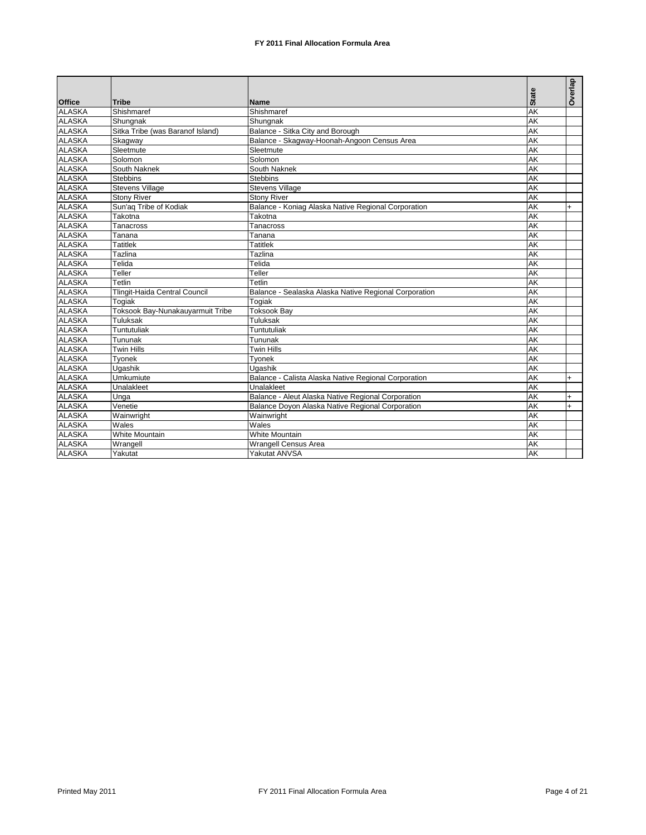|               |                                  |                                                       |              | Overlap |
|---------------|----------------------------------|-------------------------------------------------------|--------------|---------|
| Office        | <b>Tribe</b>                     | <b>Name</b>                                           | <b>State</b> |         |
| <b>ALASKA</b> | Shishmaref                       | Shishmaref                                            | <b>AK</b>    |         |
| <b>ALASKA</b> | Shungnak                         | Shungnak                                              | <b>AK</b>    |         |
| <b>ALASKA</b> | Sitka Tribe (was Baranof Island) | Balance - Sitka City and Borough                      | AK           |         |
| <b>ALASKA</b> | Skagway                          | Balance - Skagway-Hoonah-Angoon Census Area           | <b>AK</b>    |         |
| <b>ALASKA</b> | Sleetmute                        | Sleetmute                                             | <b>AK</b>    |         |
| <b>ALASKA</b> | Solomon                          | Solomon                                               | AK           |         |
| <b>ALASKA</b> | South Naknek                     | South Naknek                                          | <b>AK</b>    |         |
| <b>ALASKA</b> | <b>Stebbins</b>                  | <b>Stebbins</b>                                       | <b>AK</b>    |         |
| <b>ALASKA</b> | <b>Stevens Village</b>           | <b>Stevens Village</b>                                | <b>AK</b>    |         |
| <b>ALASKA</b> | <b>Stony River</b>               | <b>Stony River</b>                                    | AK           |         |
| <b>ALASKA</b> | Sun'ag Tribe of Kodiak           | Balance - Koniag Alaska Native Regional Corporation   | <b>AK</b>    | $+$     |
| <b>ALASKA</b> | Takotna                          | Takotna                                               | <b>AK</b>    |         |
| <b>ALASKA</b> | Tanacross                        | Tanacross                                             | AK           |         |
| <b>ALASKA</b> | Tanana                           | Tanana                                                | <b>AK</b>    |         |
| <b>ALASKA</b> | Tatitlek                         | <b>Tatitlek</b>                                       | AK           |         |
| <b>ALASKA</b> | Tazlina                          | Tazlina                                               | <b>AK</b>    |         |
| <b>ALASKA</b> | Telida                           | Telida                                                | <b>AK</b>    |         |
| <b>ALASKA</b> | Teller                           | Teller                                                | <b>AK</b>    |         |
| <b>ALASKA</b> | Tetlin                           | Tetlin                                                | <b>AK</b>    |         |
| <b>ALASKA</b> | Tlingit-Haida Central Council    | Balance - Sealaska Alaska Native Regional Corporation | <b>AK</b>    |         |
| <b>ALASKA</b> | Togiak                           | Togiak                                                | <b>AK</b>    |         |
| <b>ALASKA</b> | Toksook Bay-Nunakauyarmuit Tribe | <b>Toksook Bay</b>                                    | <b>AK</b>    |         |
| <b>ALASKA</b> | Tuluksak                         | Tuluksak                                              | <b>AK</b>    |         |
| <b>ALASKA</b> | Tuntutuliak                      | Tuntutuliak                                           | <b>AK</b>    |         |
| <b>ALASKA</b> | Tununak                          | Tununak                                               | <b>AK</b>    |         |
| <b>ALASKA</b> | <b>Twin Hills</b>                | <b>Twin Hills</b>                                     | <b>AK</b>    |         |
| <b>ALASKA</b> | Tyonek                           | Tyonek                                                | AK           |         |
| <b>ALASKA</b> | Ugashik                          | Ugashik                                               | <b>AK</b>    |         |
| <b>ALASKA</b> | Umkumiute                        | Balance - Calista Alaska Native Regional Corporation  | <b>AK</b>    | $+$     |
| <b>ALASKA</b> | Unalakleet                       | Unalakleet                                            | <b>AK</b>    |         |
| <b>ALASKA</b> | Unga                             | Balance - Aleut Alaska Native Regional Corporation    | <b>AK</b>    | $+$     |
| <b>ALASKA</b> | Venetie                          | Balance Doyon Alaska Native Regional Corporation      | AK           | $+$     |
| <b>ALASKA</b> | Wainwright                       | Wainwright                                            | AK           |         |
| <b>ALASKA</b> | Wales                            | Wales                                                 | <b>AK</b>    |         |
| <b>ALASKA</b> | <b>White Mountain</b>            | White Mountain                                        | AK           |         |
| <b>ALASKA</b> | Wrangell                         | <b>Wrangell Census Area</b>                           | <b>AK</b>    |         |
| <b>ALASKA</b> | Yakutat                          | Yakutat ANVSA                                         | <b>AK</b>    |         |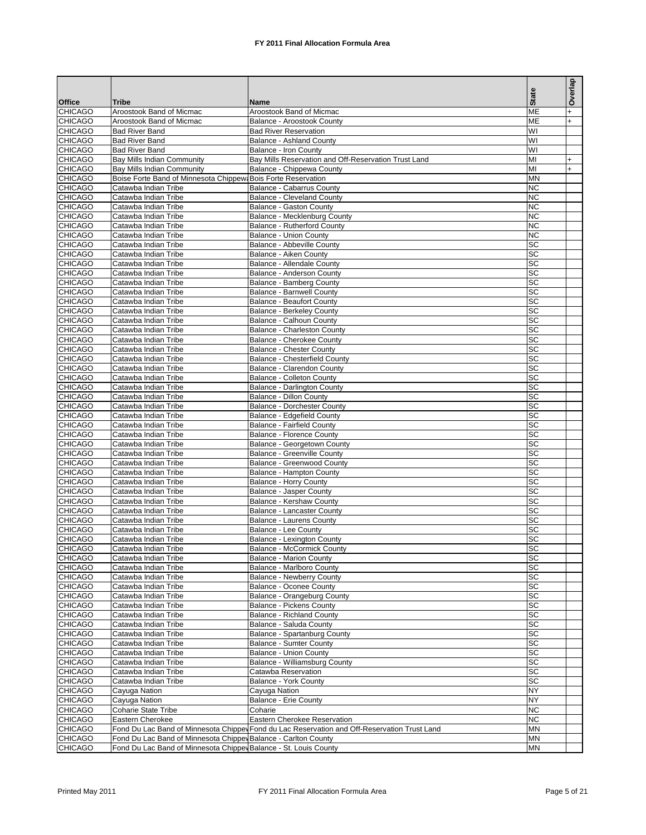|                                  |                                                                  |                                                                                              | <b>State</b>                       | Overlap   |
|----------------------------------|------------------------------------------------------------------|----------------------------------------------------------------------------------------------|------------------------------------|-----------|
| <b>Office</b><br><b>CHICAGO</b>  | <b>Tribe</b><br>Aroostook Band of Micmac                         | <b>Name</b><br>Aroostook Band of Micmac                                                      | <b>ME</b>                          | $\ddot{}$ |
| <b>CHICAGO</b>                   | Aroostook Band of Micmac                                         | Balance - Aroostook County                                                                   | <b>ME</b>                          | $+$       |
| <b>CHICAGO</b>                   | <b>Bad River Band</b>                                            | <b>Bad River Reservation</b>                                                                 | WI                                 |           |
| <b>CHICAGO</b>                   | <b>Bad River Band</b>                                            | <b>Balance - Ashland County</b>                                                              | WI                                 |           |
| <b>CHICAGO</b>                   | <b>Bad River Band</b>                                            | Balance - Iron County                                                                        | WI                                 |           |
| <b>CHICAGO</b>                   | Bay Mills Indian Community                                       | Bay Mills Reservation and Off-Reservation Trust Land                                         | MI                                 | $+$       |
| <b>CHICAGO</b>                   | Bay Mills Indian Community                                       | Balance - Chippewa County                                                                    | MI                                 | $+$       |
| <b>CHICAGO</b>                   | Boise Forte Band of Minnesota Chippew: Bois Forte Reservation    |                                                                                              | <b>MN</b>                          |           |
| <b>CHICAGO</b><br><b>CHICAGO</b> | Catawba Indian Tribe<br>Catawba Indian Tribe                     | <b>Balance - Cabarrus County</b><br><b>Balance - Cleveland County</b>                        | <b>NC</b><br><b>NC</b>             |           |
| <b>CHICAGO</b>                   | Catawba Indian Tribe                                             | Balance - Gaston County                                                                      | <b>NC</b>                          |           |
| <b>CHICAGO</b>                   | Catawba Indian Tribe                                             | Balance - Mecklenburg County                                                                 | <b>NC</b>                          |           |
| <b>CHICAGO</b>                   | Catawba Indian Tribe                                             | Balance - Rutherford County                                                                  | <b>NC</b>                          |           |
| <b>CHICAGO</b>                   | Catawba Indian Tribe                                             | <b>Balance - Union County</b>                                                                | <b>NC</b>                          |           |
| <b>CHICAGO</b>                   | Catawba Indian Tribe                                             | Balance - Abbeville County                                                                   | SC                                 |           |
| <b>CHICAGO</b>                   | Catawba Indian Tribe                                             | Balance - Aiken County                                                                       | SC                                 |           |
| <b>CHICAGO</b>                   | Catawba Indian Tribe                                             | Balance - Allendale County                                                                   | <b>SC</b>                          |           |
| <b>CHICAGO</b>                   | Catawba Indian Tribe                                             | Balance - Anderson County                                                                    | $\overline{SC}$                    |           |
| <b>CHICAGO</b>                   | Catawba Indian Tribe                                             | Balance - Bamberg County                                                                     | SC                                 |           |
| <b>CHICAGO</b>                   | Catawba Indian Tribe                                             | <b>Balance - Barnwell County</b>                                                             | SC                                 |           |
| <b>CHICAGO</b><br><b>CHICAGO</b> | Catawba Indian Tribe<br>Catawba Indian Tribe                     | <b>Balance - Beaufort County</b>                                                             | <b>SC</b><br><b>SC</b>             |           |
| <b>CHICAGO</b>                   | Catawba Indian Tribe                                             | <b>Balance - Berkeley County</b><br>Balance - Calhoun County                                 | $\overline{SC}$                    |           |
| <b>CHICAGO</b>                   | Catawba Indian Tribe                                             | Balance - Charleston County                                                                  | SC                                 |           |
| <b>CHICAGO</b>                   | Catawba Indian Tribe                                             | Balance - Cherokee County                                                                    | <b>SC</b>                          |           |
| <b>CHICAGO</b>                   | Catawba Indian Tribe                                             | <b>Balance - Chester County</b>                                                              | SC                                 |           |
| <b>CHICAGO</b>                   | Catawba Indian Tribe                                             | Balance - Chesterfield County                                                                | <b>SC</b>                          |           |
| <b>CHICAGO</b>                   | Catawba Indian Tribe                                             | Balance - Clarendon County                                                                   | SC                                 |           |
| <b>CHICAGO</b>                   | Catawba Indian Tribe                                             | <b>Balance - Colleton County</b>                                                             | <b>SC</b>                          |           |
| <b>CHICAGO</b>                   | Catawba Indian Tribe                                             | Balance - Darlington County                                                                  | $\overline{SC}$                    |           |
| <b>CHICAGO</b>                   | Catawba Indian Tribe                                             | Balance - Dillon County                                                                      | <b>SC</b>                          |           |
| <b>CHICAGO</b>                   | Catawba Indian Tribe                                             | <b>Balance - Dorchester County</b>                                                           | SC                                 |           |
| <b>CHICAGO</b>                   | Catawba Indian Tribe                                             | Balance - Edgefield County                                                                   | <b>SC</b>                          |           |
| <b>CHICAGO</b><br><b>CHICAGO</b> | Catawba Indian Tribe                                             | <b>Balance - Fairfield County</b>                                                            | $\overline{SC}$<br>$\overline{SC}$ |           |
| <b>CHICAGO</b>                   | Catawba Indian Tribe<br>Catawba Indian Tribe                     | Balance - Florence County<br>Balance - Georgetown County                                     | SC                                 |           |
| <b>CHICAGO</b>                   | Catawba Indian Tribe                                             | <b>Balance - Greenville County</b>                                                           | $\overline{SC}$                    |           |
| <b>CHICAGO</b>                   | Catawba Indian Tribe                                             | Balance - Greenwood County                                                                   | SC                                 |           |
| <b>CHICAGO</b>                   | Catawba Indian Tribe                                             | Balance - Hampton County                                                                     | SC                                 |           |
| <b>CHICAGO</b>                   | Catawba Indian Tribe                                             | <b>Balance - Horry County</b>                                                                | SC                                 |           |
| <b>CHICAGO</b>                   | Catawba Indian Tribe                                             | Balance - Jasper County                                                                      | SC                                 |           |
| <b>CHICAGO</b>                   | Catawba Indian Tribe                                             | Balance - Kershaw County                                                                     | SC                                 |           |
| <b>CHICAGO</b>                   | Catawba Indian Tribe                                             | Balance - Lancaster County                                                                   | SC                                 |           |
| <b>CHICAGO</b>                   | Catawba Indian Tribe                                             | <b>Balance - Laurens County</b>                                                              | SC                                 |           |
| <b>CHICAGO</b>                   | Catawba Indian Tribe                                             | Balance - Lee County                                                                         | SC                                 |           |
| <b>CHICAGO</b><br><b>CHICAGO</b> | Catawba Indian Tribe<br>Catawba Indian Tribe                     | Balance - Lexington County<br>Balance - McCormick County                                     | SC<br>SC                           |           |
| <b>CHICAGO</b>                   | Catawba Indian Tribe                                             | <b>Balance - Marion County</b>                                                               | SC                                 |           |
| <b>CHICAGO</b>                   | Catawba Indian Tribe                                             | Balance - Marlboro County                                                                    | SC                                 |           |
| <b>CHICAGO</b>                   | Catawba Indian Tribe                                             | <b>Balance - Newberry County</b>                                                             | SC                                 |           |
| <b>CHICAGO</b>                   | Catawba Indian Tribe                                             | <b>Balance - Oconee County</b>                                                               | SC                                 |           |
| <b>CHICAGO</b>                   | Catawba Indian Tribe                                             | Balance - Orangeburg County                                                                  | SC                                 |           |
| <b>CHICAGO</b>                   | Catawba Indian Tribe                                             | <b>Balance - Pickens County</b>                                                              | SC                                 |           |
| <b>CHICAGO</b>                   | Catawba Indian Tribe                                             | Balance - Richland County                                                                    | SC                                 |           |
| <b>CHICAGO</b>                   | Catawba Indian Tribe                                             | Balance - Saluda County                                                                      | SC                                 |           |
| <b>CHICAGO</b>                   | Catawba Indian Tribe                                             | Balance - Spartanburg County                                                                 | SC                                 |           |
| <b>CHICAGO</b>                   | Catawba Indian Tribe                                             | <b>Balance - Sumter County</b>                                                               | SC                                 |           |
| <b>CHICAGO</b><br><b>CHICAGO</b> | Catawba Indian Tribe<br>Catawba Indian Tribe                     | <b>Balance - Union County</b><br>Balance - Williamsburg County                               | SC<br>SC                           |           |
| <b>CHICAGO</b>                   | Catawba Indian Tribe                                             | Catawba Reservation                                                                          | SC                                 |           |
| <b>CHICAGO</b>                   | Catawba Indian Tribe                                             | Balance - York County                                                                        | SC                                 |           |
| <b>CHICAGO</b>                   | Cayuga Nation                                                    | Cayuga Nation                                                                                | NY                                 |           |
| <b>CHICAGO</b>                   | Cayuga Nation                                                    | <b>Balance - Erie County</b>                                                                 | <b>NY</b>                          |           |
| <b>CHICAGO</b>                   | Coharie State Tribe                                              | Coharie                                                                                      | <b>NC</b>                          |           |
| <b>CHICAGO</b>                   | Eastern Cherokee                                                 | Eastern Cherokee Reservation                                                                 | <b>NC</b>                          |           |
| <b>CHICAGO</b>                   |                                                                  | Fond Du Lac Band of Minnesota Chippey Fond du Lac Reservation and Off-Reservation Trust Land | MN                                 |           |
| <b>CHICAGO</b>                   | Fond Du Lac Band of Minnesota Chippev Balance - Carlton County   |                                                                                              | MN                                 |           |
| <b>CHICAGO</b>                   | Fond Du Lac Band of Minnesota Chippey Balance - St. Louis County |                                                                                              | ΜN                                 |           |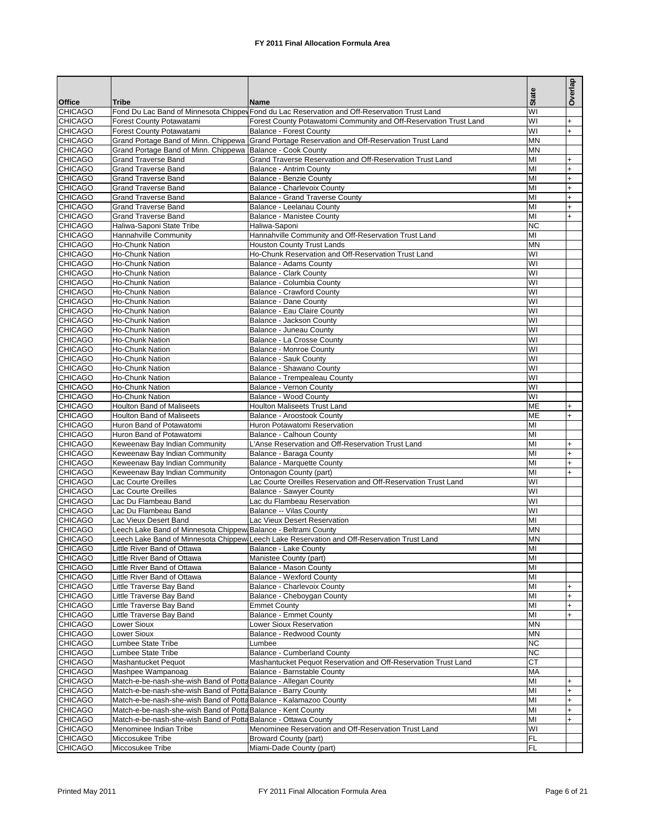|                                  |                                                                                                                                    |                                                                                                     | <b>State</b>    | Overlap                |
|----------------------------------|------------------------------------------------------------------------------------------------------------------------------------|-----------------------------------------------------------------------------------------------------|-----------------|------------------------|
| <b>Office</b>                    | Tribe                                                                                                                              | Name                                                                                                |                 |                        |
| <b>CHICAGO</b>                   |                                                                                                                                    | Fond Du Lac Band of Minnesota Chippey Fond du Lac Reservation and Off-Reservation Trust Land        | WI              |                        |
| <b>CHICAGO</b><br><b>CHICAGO</b> | Forest County Potawatami<br><b>Forest County Potawatami</b>                                                                        | Forest County Potawatomi Community and Off-Reservation Trust Land<br><b>Balance - Forest County</b> | WI<br>WI        | $\ddot{}$<br>$+$       |
| <b>CHICAGO</b>                   | Grand Portage Band of Minn. Chippewa                                                                                               | Grand Portage Reservation and Off-Reservation Trust Land                                            | MN              |                        |
| <b>CHICAGO</b>                   | Grand Portage Band of Minn. Chippewa                                                                                               | Balance - Cook County                                                                               | <b>MN</b>       |                        |
| <b>CHICAGO</b>                   | Grand Traverse Band                                                                                                                | Grand Traverse Reservation and Off-Reservation Trust Land                                           | MI              | $\ddot{}$              |
| <b>CHICAGO</b>                   | <b>Grand Traverse Band</b>                                                                                                         | Balance - Antrim County                                                                             | MI              | $\ddot{}$              |
| <b>CHICAGO</b>                   | <b>Grand Traverse Band</b>                                                                                                         | Balance - Benzie County                                                                             | MI              | $\ddot{}$              |
| <b>CHICAGO</b>                   | <b>Grand Traverse Band</b>                                                                                                         | Balance - Charlevoix County                                                                         | MI              | $\ddot{}$              |
| <b>CHICAGO</b><br><b>CHICAGO</b> | <b>Grand Traverse Band</b><br>Grand Traverse Band                                                                                  | Balance - Grand Traverse County<br>Balance - Leelanau County                                        | MI<br>MI        | $\ddot{}$<br>$\ddot{}$ |
| <b>CHICAGO</b>                   | <b>Grand Traverse Band</b>                                                                                                         | Balance - Manistee County                                                                           | MI              | $\ddot{}$              |
| <b>CHICAGO</b>                   | Haliwa-Saponi State Tribe                                                                                                          | Haliwa-Saponi                                                                                       | <b>NC</b>       |                        |
| <b>CHICAGO</b>                   | Hannahville Community                                                                                                              | Hannahville Community and Off-Reservation Trust Land                                                | MI              |                        |
| <b>CHICAGO</b>                   | Ho-Chunk Nation                                                                                                                    | <b>Houston County Trust Lands</b>                                                                   | MN              |                        |
| <b>CHICAGO</b>                   | Ho-Chunk Nation                                                                                                                    | Ho-Chunk Reservation and Off-Reservation Trust Land                                                 | WI              |                        |
| <b>CHICAGO</b>                   | <b>Ho-Chunk Nation</b>                                                                                                             | Balance - Adams County                                                                              | WI              |                        |
| <b>CHICAGO</b><br><b>CHICAGO</b> | Ho-Chunk Nation<br>Ho-Chunk Nation                                                                                                 | <b>Balance - Clark County</b><br>Balance - Columbia County                                          | WI<br>WI        |                        |
| <b>CHICAGO</b>                   | <b>Ho-Chunk Nation</b>                                                                                                             | <b>Balance - Crawford County</b>                                                                    | WI              |                        |
| <b>CHICAGO</b>                   | Ho-Chunk Nation                                                                                                                    | Balance - Dane County                                                                               | WI              |                        |
| <b>CHICAGO</b>                   | <b>Ho-Chunk Nation</b>                                                                                                             | Balance - Eau Claire County                                                                         | WI              |                        |
| <b>CHICAGO</b>                   | Ho-Chunk Nation                                                                                                                    | Balance - Jackson County                                                                            | WI              |                        |
| <b>CHICAGO</b>                   | <b>Ho-Chunk Nation</b>                                                                                                             | Balance - Juneau County                                                                             | WI              |                        |
| <b>CHICAGO</b>                   | Ho-Chunk Nation                                                                                                                    | Balance - La Crosse County                                                                          | WI              |                        |
| <b>CHICAGO</b>                   | <b>Ho-Chunk Nation</b>                                                                                                             | <b>Balance - Monroe County</b>                                                                      | WI              |                        |
| <b>CHICAGO</b><br><b>CHICAGO</b> | <b>Ho-Chunk Nation</b>                                                                                                             | Balance - Sauk County                                                                               | WI<br>WI        |                        |
| <b>CHICAGO</b>                   | Ho-Chunk Nation<br>Ho-Chunk Nation                                                                                                 | Balance - Shawano County<br>Balance - Trempealeau County                                            | WI              |                        |
| <b>CHICAGO</b>                   | Ho-Chunk Nation                                                                                                                    | Balance - Vernon County                                                                             | WI              |                        |
| <b>CHICAGO</b>                   | Ho-Chunk Nation                                                                                                                    | Balance - Wood County                                                                               | WI              |                        |
| <b>CHICAGO</b>                   | <b>Houlton Band of Maliseets</b>                                                                                                   | <b>Houlton Maliseets Trust Land</b>                                                                 | ME              | +                      |
| <b>CHICAGO</b>                   | <b>Houlton Band of Maliseets</b>                                                                                                   | Balance - Aroostook County                                                                          | МE              | $\ddot{}$              |
| <b>CHICAGO</b>                   | Huron Band of Potawatomi                                                                                                           | Huron Potawatomi Reservation                                                                        | MI              |                        |
| <b>CHICAGO</b>                   | Huron Band of Potawatomi                                                                                                           | Balance - Calhoun County                                                                            | MI              |                        |
| <b>CHICAGO</b><br><b>CHICAGO</b> | Keweenaw Bay Indian Community<br>Keweenaw Bay Indian Community                                                                     | L'Anse Reservation and Off-Reservation Trust Land<br>Balance - Baraga County                        | MI<br>MI        | $\ddot{}$<br>$\ddot{}$ |
| <b>CHICAGO</b>                   | Keweenaw Bay Indian Community                                                                                                      | Balance - Marquette County                                                                          | MI              | $\ddot{}$              |
| <b>CHICAGO</b>                   | Keweenaw Bay Indian Community                                                                                                      | Ontonagon County (part)                                                                             | MI              | $\ddot{}$              |
| <b>CHICAGO</b>                   | Lac Courte Oreilles                                                                                                                | Lac Courte Oreilles Reservation and Off-Reservation Trust Land                                      | WI              |                        |
| <b>CHICAGO</b>                   | Lac Courte Oreilles                                                                                                                | <b>Balance - Sawyer County</b>                                                                      | WI              |                        |
| <b>CHICAGO</b>                   | Lac Du Flambeau Band                                                                                                               | Lac du Flambeau Reservation                                                                         | WI              |                        |
| <b>CHICAGO</b>                   | Lac Du Flambeau Band                                                                                                               | Balance -- Vilas County                                                                             | WI              |                        |
| <b>CHICAGO</b><br><b>CHICAGO</b> | Lac Vieux Desert Band<br>Leech Lake Band of Minnesota Chippew Balance - Beltrami County                                            | Lac Vieux Desert Reservation                                                                        | MI<br><b>MN</b> |                        |
| <b>CHICAGO</b>                   |                                                                                                                                    | Leech Lake Band of Minnesota Chippew Leech Lake Reservation and Off-Reservation Trust Land          | <b>MN</b>       |                        |
| <b>CHICAGO</b>                   | Little River Band of Ottawa                                                                                                        | Balance - Lake County                                                                               | M <sub>l</sub>  |                        |
| <b>CHICAGO</b>                   | Little River Band of Ottawa                                                                                                        | Manistee County (part)                                                                              | MI              |                        |
| <b>CHICAGO</b>                   | Little River Band of Ottawa                                                                                                        | Balance - Mason County                                                                              | MI              |                        |
| <b>CHICAGO</b>                   | Little River Band of Ottawa                                                                                                        | <b>Balance - Wexford County</b>                                                                     | MI              |                        |
| <b>CHICAGO</b>                   | Little Traverse Bay Band                                                                                                           | Balance - Charlevoix County                                                                         | MI              | $\ddot{}$              |
| <b>CHICAGO</b>                   | Little Traverse Bay Band                                                                                                           | Balance - Cheboygan County                                                                          | MI              | $\ddot{}$              |
| <b>CHICAGO</b><br><b>CHICAGO</b> | Little Traverse Bay Band<br>Little Traverse Bay Band                                                                               | <b>Emmet County</b><br><b>Balance - Emmet County</b>                                                | MI<br>MI        | $\ddot{}$<br>$\ddot{}$ |
| <b>CHICAGO</b>                   | Lower Sioux                                                                                                                        | Lower Sioux Reservation                                                                             | <b>MN</b>       |                        |
| <b>CHICAGO</b>                   | Lower Sioux                                                                                                                        | Balance - Redwood County                                                                            | <b>MN</b>       |                        |
| <b>CHICAGO</b>                   | Lumbee State Tribe                                                                                                                 | Lumbee                                                                                              | <b>NC</b>       |                        |
| <b>CHICAGO</b>                   | Lumbee State Tribe                                                                                                                 | <b>Balance - Cumberland County</b>                                                                  | <b>NC</b>       |                        |
| <b>CHICAGO</b>                   | Mashantucket Pequot                                                                                                                | Mashantucket Pequot Reservation and Off-Reservation Trust Land                                      | СT              |                        |
| <b>CHICAGO</b>                   | Mashpee Wampanoag                                                                                                                  | Balance - Barnstable County                                                                         | MA              |                        |
| <b>CHICAGO</b>                   | Match-e-be-nash-she-wish Band of Potta Balance - Allegan County                                                                    |                                                                                                     | MI              | $\ddot{}$              |
| <b>CHICAGO</b><br><b>CHICAGO</b> | Match-e-be-nash-she-wish Band of Potta Balance - Barry County<br>Match-e-be-nash-she-wish Band of Potta Balance - Kalamazoo County |                                                                                                     | MI<br>MI        | $\ddot{}$<br>$\ddot{}$ |
| <b>CHICAGO</b>                   | Match-e-be-nash-she-wish Band of Potta Balance - Kent County                                                                       |                                                                                                     | MI              | $\ddot{}$              |
| <b>CHICAGO</b>                   | Match-e-be-nash-she-wish Band of Potta Balance - Ottawa County                                                                     |                                                                                                     | MI              | $\ddot{}$              |
| <b>CHICAGO</b>                   | Menominee Indian Tribe                                                                                                             | Menominee Reservation and Off-Reservation Trust Land                                                | WI              |                        |
| <b>CHICAGO</b>                   | Miccosukee Tribe                                                                                                                   | Broward County (part)                                                                               | FL              |                        |
| <b>CHICAGO</b>                   | Miccosukee Tribe                                                                                                                   | Miami-Dade County (part)                                                                            | FL              |                        |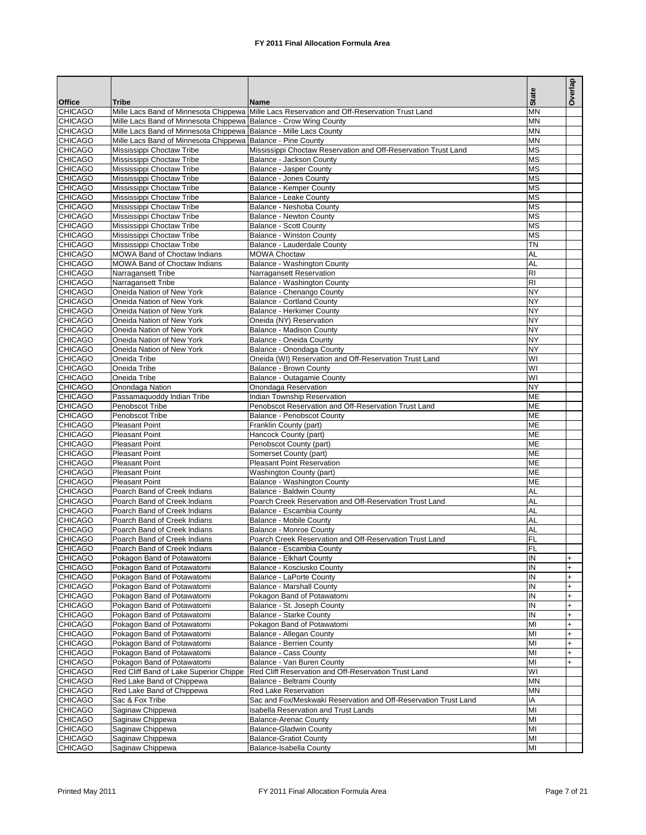|                                  |                                                                                |                                                                                            | <b>State</b>           | Overlap                |
|----------------------------------|--------------------------------------------------------------------------------|--------------------------------------------------------------------------------------------|------------------------|------------------------|
| <b>Office</b>                    | Tribe                                                                          | Name                                                                                       |                        |                        |
| <b>CHICAGO</b><br><b>CHICAGO</b> | Mille Lacs Band of Minnesota Chippewa<br>Mille Lacs Band of Minnesota Chippewa | Mille Lacs Reservation and Off-Reservation Trust Land<br><b>Balance - Crow Wing County</b> | MN<br><b>MN</b>        |                        |
| <b>CHICAGO</b>                   | Mille Lacs Band of Minnesota Chippewa Balance - Mille Lacs County              |                                                                                            | <b>MN</b>              |                        |
| <b>CHICAGO</b>                   | Mille Lacs Band of Minnesota Chippewa                                          | <b>Balance - Pine County</b>                                                               | <b>MN</b>              |                        |
| <b>CHICAGO</b>                   | Mississippi Choctaw Tribe                                                      | Mississippi Choctaw Reservation and Off-Reservation Trust Land                             | <b>MS</b>              |                        |
| <b>CHICAGO</b>                   | Mississippi Choctaw Tribe                                                      | Balance - Jackson County                                                                   | MS                     |                        |
| <b>CHICAGO</b>                   | Mississippi Choctaw Tribe                                                      | Balance - Jasper County                                                                    | <b>MS</b>              |                        |
| <b>CHICAGO</b><br><b>CHICAGO</b> | Mississippi Choctaw Tribe<br>Mississippi Choctaw Tribe                         | Balance - Jones County<br>Balance - Kemper County                                          | MS<br><b>MS</b>        |                        |
| <b>CHICAGO</b>                   | Mississippi Choctaw Tribe                                                      | Balance - Leake County                                                                     | MS                     |                        |
| <b>CHICAGO</b>                   | Mississippi Choctaw Tribe                                                      | Balance - Neshoba County                                                                   | <b>MS</b>              |                        |
| <b>CHICAGO</b>                   | Mississippi Choctaw Tribe                                                      | Balance - Newton County                                                                    | <b>MS</b>              |                        |
| <b>CHICAGO</b>                   | Mississippi Choctaw Tribe                                                      | <b>Balance - Scott County</b>                                                              | <b>MS</b>              |                        |
| <b>CHICAGO</b>                   | Mississippi Choctaw Tribe                                                      | <b>Balance - Winston County</b>                                                            | <b>MS</b>              |                        |
| <b>CHICAGO</b>                   | Mississippi Choctaw Tribe                                                      | Balance - Lauderdale County                                                                | ΤN                     |                        |
| <b>CHICAGO</b><br><b>CHICAGO</b> | <b>MOWA Band of Choctaw Indians</b><br><b>MOWA Band of Choctaw Indians</b>     | <b>MOWA Choctaw</b><br>Balance - Washington County                                         | AL<br>AL               |                        |
| <b>CHICAGO</b>                   | Narragansett Tribe                                                             | Narragansett Reservation                                                                   | R <sub>l</sub>         |                        |
| <b>CHICAGO</b>                   | Narragansett Tribe                                                             | Balance - Washington County                                                                | RI                     |                        |
| <b>CHICAGO</b>                   | Oneida Nation of New York                                                      | Balance - Chenango County                                                                  | <b>NY</b>              |                        |
| <b>CHICAGO</b>                   | Oneida Nation of New York                                                      | <b>Balance - Cortland County</b>                                                           | <b>NY</b>              |                        |
| <b>CHICAGO</b>                   | Oneida Nation of New York                                                      | <b>Balance - Herkimer County</b>                                                           | <b>NY</b>              |                        |
| <b>CHICAGO</b>                   | Oneida Nation of New York                                                      | Oneida (NY) Reservation                                                                    | <b>NY</b>              |                        |
| <b>CHICAGO</b>                   | Oneida Nation of New York                                                      | Balance - Madison County                                                                   | <b>NY</b><br><b>NY</b> |                        |
| <b>CHICAGO</b><br><b>CHICAGO</b> | Oneida Nation of New York<br>Oneida Nation of New York                         | Balance - Oneida County<br>Balance - Onondaga County                                       | <b>NY</b>              |                        |
| <b>CHICAGO</b>                   | Oneida Tribe                                                                   | Oneida (WI) Reservation and Off-Reservation Trust Land                                     | WI                     |                        |
| <b>CHICAGO</b>                   | Oneida Tribe                                                                   | Balance - Brown County                                                                     | WI                     |                        |
| <b>CHICAGO</b>                   | Oneida Tribe                                                                   | Balance - Outagamie County                                                                 | WI                     |                        |
| <b>CHICAGO</b>                   | Onondaga Nation                                                                | Onondaga Reservation                                                                       | <b>NY</b>              |                        |
| <b>CHICAGO</b>                   | Passamaquoddy Indian Tribe                                                     | Indian Township Reservation                                                                | ME                     |                        |
| <b>CHICAGO</b>                   | Penobscot Tribe                                                                | Penobscot Reservation and Off-Reservation Trust Land                                       | ME                     |                        |
| <b>CHICAGO</b><br><b>CHICAGO</b> | Penobscot Tribe<br><b>Pleasant Point</b>                                       | Balance - Penobscot County<br>Franklin County (part)                                       | ME<br>ME               |                        |
| <b>CHICAGO</b>                   | <b>Pleasant Point</b>                                                          | Hancock County (part)                                                                      | ME                     |                        |
| <b>CHICAGO</b>                   | <b>Pleasant Point</b>                                                          | Penobscot County (part)                                                                    | ME                     |                        |
| <b>CHICAGO</b>                   | <b>Pleasant Point</b>                                                          | Somerset County (part)                                                                     | ME                     |                        |
| <b>CHICAGO</b>                   | <b>Pleasant Point</b>                                                          | <b>Pleasant Point Reservation</b>                                                          | ME                     |                        |
| <b>CHICAGO</b>                   | <b>Pleasant Point</b>                                                          | Washington County (part)                                                                   | ME                     |                        |
| <b>CHICAGO</b><br><b>CHICAGO</b> | <b>Pleasant Point</b><br>Poarch Band of Creek Indians                          | Balance - Washington County                                                                | ME<br>AL               |                        |
| <b>CHICAGO</b>                   | Poarch Band of Creek Indians                                                   | Balance - Baldwin County<br>Poarch Creek Reservation and Off-Reservation Trust Land        | AL                     |                        |
| <b>CHICAGO</b>                   | Poarch Band of Creek Indians                                                   | Balance - Escambia County                                                                  | AL                     |                        |
| <b>CHICAGO</b>                   | Poarch Band of Creek Indians                                                   | Balance - Mobile County                                                                    | AL                     |                        |
| <b>CHICAGO</b>                   | Poarch Band of Creek Indians                                                   | Balance - Monroe County                                                                    | AL                     |                        |
| <b>CHICAGO</b>                   | Poarch Band of Creek Indians                                                   | Poarch Creek Reservation and Off-Reservation Trust Land                                    | FL                     |                        |
| <b>CHICAGO</b>                   | Poarch Band of Creek Indians                                                   | Balance - Escambia County                                                                  | FL                     |                        |
| <b>CHICAGO</b><br><b>CHICAGO</b> | Pokagon Band of Potawatomi<br>Pokagon Band of Potawatomi                       | <b>Balance - Elkhart County</b>                                                            | IN<br>IN               | $+$                    |
| <b>CHICAGO</b>                   | Pokagon Band of Potawatomi                                                     | Balance - Kosciusko County<br>Balance - LaPorte County                                     | IN                     | $\ddot{}$<br>$\ddot{}$ |
| <b>CHICAGO</b>                   | Pokagon Band of Potawatomi                                                     | <b>Balance - Marshall County</b>                                                           | IN                     | $\ddot{}$              |
| <b>CHICAGO</b>                   | Pokagon Band of Potawatomi                                                     | Pokagon Band of Potawatomi                                                                 | IN                     | $\ddot{}$              |
| <b>CHICAGO</b>                   | Pokagon Band of Potawatomi                                                     | Balance - St. Joseph County                                                                | IN                     | $\ddot{}$              |
| <b>CHICAGO</b>                   | Pokagon Band of Potawatomi                                                     | Balance - Starke County                                                                    | IN                     | $\ddot{}$              |
| <b>CHICAGO</b>                   | Pokagon Band of Potawatomi                                                     | Pokagon Band of Potawatomi                                                                 | MI                     | $\ddot{}$              |
| <b>CHICAGO</b><br><b>CHICAGO</b> | Pokagon Band of Potawatomi<br>Pokagon Band of Potawatomi                       | Balance - Allegan County                                                                   | MI                     | $\ddot{}$              |
| <b>CHICAGO</b>                   | Pokagon Band of Potawatomi                                                     | <b>Balance - Berrien County</b><br>Balance - Cass County                                   | MI<br>MI               | $\ddot{}$<br>$\ddot{}$ |
| <b>CHICAGO</b>                   | Pokagon Band of Potawatomi                                                     | Balance - Van Buren County                                                                 | MI                     | $\ddot{}$              |
| <b>CHICAGO</b>                   | Red Cliff Band of Lake Superior Chippe                                         | Red Cliff Reservation and Off-Reservation Trust Land                                       | WI                     |                        |
| <b>CHICAGO</b>                   | Red Lake Band of Chippewa                                                      | Balance - Beltrami County                                                                  | <b>MN</b>              |                        |
| <b>CHICAGO</b>                   | Red Lake Band of Chippewa                                                      | Red Lake Reservation                                                                       | <b>MN</b>              |                        |
| <b>CHICAGO</b>                   | Sac & Fox Tribe                                                                | Sac and Fox/Meskwaki Reservation and Off-Reservation Trust Land                            | IA                     |                        |
| <b>CHICAGO</b><br><b>CHICAGO</b> | Saginaw Chippewa                                                               | <b>Isabella Reservation and Trust Lands</b>                                                | MI<br>MI               |                        |
| <b>CHICAGO</b>                   | Saginaw Chippewa<br>Saginaw Chippewa                                           | <b>Balance-Arenac County</b><br><b>Balance-Gladwin County</b>                              | MI                     |                        |
| <b>CHICAGO</b>                   | Saginaw Chippewa                                                               | <b>Balance-Gratiot County</b>                                                              | MI                     |                        |
| <b>CHICAGO</b>                   | Saginaw Chippewa                                                               | Balance-Isabella County                                                                    | MI                     |                        |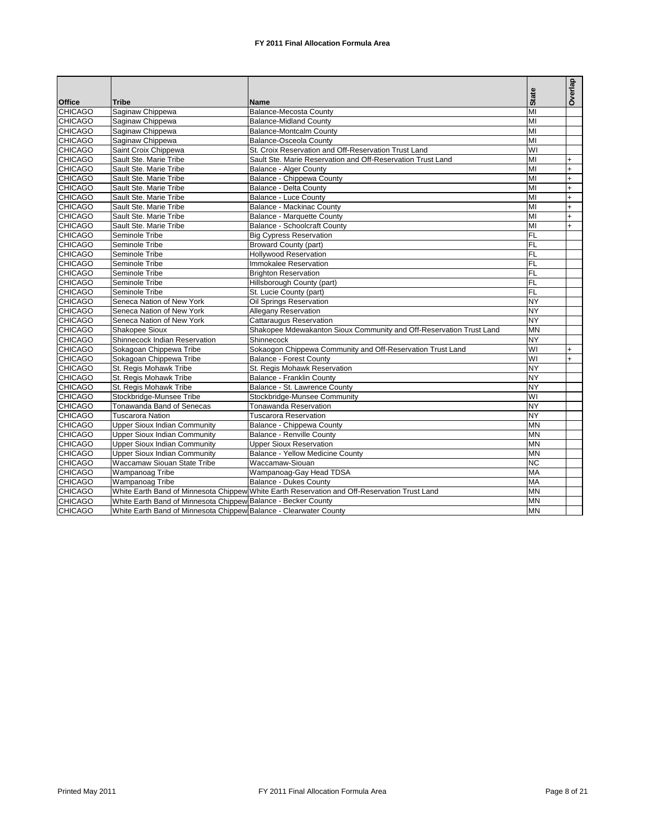|                |                                                                   |                                                                                              |                 | Overlap   |
|----------------|-------------------------------------------------------------------|----------------------------------------------------------------------------------------------|-----------------|-----------|
| <b>Office</b>  | <b>Tribe</b>                                                      | <b>Name</b>                                                                                  | <b>State</b>    |           |
| <b>CHICAGO</b> | Saginaw Chippewa                                                  | <b>Balance-Mecosta County</b>                                                                | MI              |           |
| <b>CHICAGO</b> | Saginaw Chippewa                                                  | <b>Balance-Midland County</b>                                                                | MI              |           |
| <b>CHICAGO</b> | Saginaw Chippewa                                                  | <b>Balance-Montcalm County</b>                                                               | MI              |           |
| <b>CHICAGO</b> | Saginaw Chippewa                                                  | <b>Balance-Osceola County</b>                                                                | MI              |           |
| CHICAGO        | Saint Croix Chippewa                                              | St. Croix Reservation and Off-Reservation Trust Land                                         | $\overline{W}$  |           |
| <b>CHICAGO</b> | Sault Ste. Marie Tribe                                            | Sault Ste. Marie Reservation and Off-Reservation Trust Land                                  | MI              | $+$       |
| <b>CHICAGO</b> | Sault Ste. Marie Tribe                                            | <b>Balance - Alger County</b>                                                                | MI              | $+$       |
| <b>CHICAGO</b> | Sault Ste. Marie Tribe                                            | Balance - Chippewa County                                                                    | MI              | $+$       |
| <b>CHICAGO</b> | Sault Ste. Marie Tribe                                            | Balance - Delta County                                                                       | MI              | $\ddot{}$ |
| <b>CHICAGO</b> | Sault Ste. Marie Tribe                                            | <b>Balance - Luce County</b>                                                                 | MI              | $\ddot{}$ |
| <b>CHICAGO</b> | Sault Ste. Marie Tribe                                            | <b>Balance - Mackinac County</b>                                                             | MI              | $\ddot{}$ |
| <b>CHICAGO</b> | Sault Ste. Marie Tribe                                            | <b>Balance - Marquette County</b>                                                            | MI              | $\ddot{}$ |
| <b>CHICAGO</b> | Sault Ste. Marie Tribe                                            | <b>Balance - Schoolcraft County</b>                                                          | MI              | $+$       |
| <b>CHICAGO</b> | Seminole Tribe                                                    | <b>Big Cypress Reservation</b>                                                               | FL              |           |
| <b>CHICAGO</b> | Seminole Tribe                                                    | <b>Broward County (part)</b>                                                                 | FL              |           |
| <b>CHICAGO</b> | Seminole Tribe                                                    | <b>Hollywood Reservation</b>                                                                 | <b>FL</b>       |           |
| <b>CHICAGO</b> | Seminole Tribe                                                    | Immokalee Reservation                                                                        | <b>FL</b>       |           |
| <b>CHICAGO</b> | Seminole Tribe                                                    | <b>Brighton Reservation</b>                                                                  | FL              |           |
| <b>CHICAGO</b> | Seminole Tribe                                                    | Hillsborough County (part)                                                                   | <b>FL</b>       |           |
| <b>CHICAGO</b> | Seminole Tribe                                                    | St. Lucie County (part)                                                                      | FL              |           |
| <b>CHICAGO</b> | Seneca Nation of New York                                         | Oil Springs Reservation                                                                      | <b>NY</b>       |           |
| <b>CHICAGO</b> | Seneca Nation of New York                                         | <b>Allegany Reservation</b>                                                                  | <b>NY</b>       |           |
| <b>CHICAGO</b> | Seneca Nation of New York                                         | <b>Cattaraugus Reservation</b>                                                               | <b>NY</b>       |           |
| <b>CHICAGO</b> | Shakopee Sioux                                                    | Shakopee Mdewakanton Sioux Community and Off-Reservation Trust Land                          | <b>MN</b>       |           |
| <b>CHICAGO</b> | Shinnecock Indian Reservation                                     | Shinnecock                                                                                   | <b>NY</b>       |           |
| CHICAGO        | Sokagoan Chippewa Tribe                                           | Sokaogon Chippewa Community and Off-Reservation Trust Land                                   | $\overline{W}$  | $+$       |
| <b>CHICAGO</b> | Sokagoan Chippewa Tribe                                           | <b>Balance - Forest County</b>                                                               | WI              | $+$       |
| CHICAGO        | St. Regis Mohawk Tribe                                            | St. Regis Mohawk Reservation                                                                 | <b>NY</b>       |           |
| <b>CHICAGO</b> | St. Regis Mohawk Tribe                                            | Balance - Franklin County                                                                    | <b>NY</b>       |           |
| <b>CHICAGO</b> | St. Regis Mohawk Tribe                                            | Balance - St. Lawrence County                                                                | NY              |           |
| <b>CHICAGO</b> | Stockbridge-Munsee Tribe                                          | Stockbridge-Munsee Community                                                                 | $\overline{W}$  |           |
| <b>CHICAGO</b> | Tonawanda Band of Senecas                                         | <b>Tonawanda Reservation</b>                                                                 | <b>NY</b>       |           |
| <b>CHICAGO</b> | <b>Tuscarora Nation</b>                                           | <b>Tuscarora Reservation</b>                                                                 | <b>NY</b>       |           |
| <b>CHICAGO</b> | <b>Upper Sioux Indian Community</b>                               | Balance - Chippewa County                                                                    | <b>MN</b>       |           |
| <b>CHICAGO</b> | <b>Upper Sioux Indian Community</b>                               | Balance - Renville County                                                                    | <b>MN</b>       |           |
| <b>CHICAGO</b> | <b>Upper Sioux Indian Community</b>                               | <b>Upper Sioux Reservation</b>                                                               | <b>MN</b>       |           |
| <b>CHICAGO</b> | Upper Sioux Indian Community                                      | Balance - Yellow Medicine County                                                             | <b>MN</b>       |           |
| <b>CHICAGO</b> | Waccamaw Siouan State Tribe                                       | Waccamaw-Siouan                                                                              | $\overline{NC}$ |           |
| <b>CHICAGO</b> | Wampanoag Tribe                                                   | Wampanoaq-Gay Head TDSA                                                                      | MA              |           |
| <b>CHICAGO</b> | Wampanoag Tribe                                                   | <b>Balance - Dukes County</b>                                                                | <b>MA</b>       |           |
| <b>CHICAGO</b> |                                                                   | White Earth Band of Minnesota Chippew White Earth Reservation and Off-Reservation Trust Land | <b>MN</b>       |           |
| <b>CHICAGO</b> | White Earth Band of Minnesota Chippew Balance - Becker County     |                                                                                              | <b>MN</b>       |           |
| <b>CHICAGO</b> | White Earth Band of Minnesota Chippew Balance - Clearwater County |                                                                                              | <b>MN</b>       |           |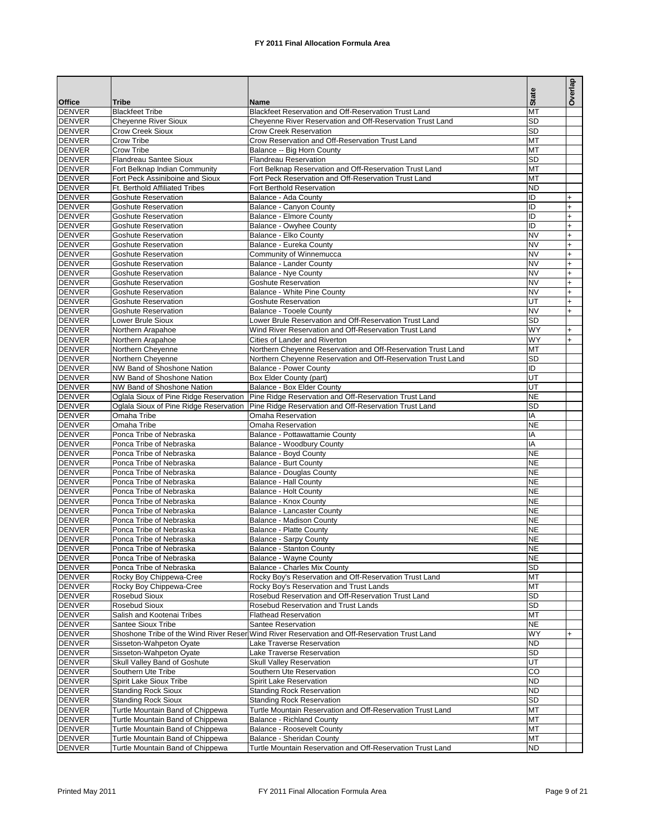|                                |                                                                          |                                                                                                                    | <b>State</b>           | Overlap        |
|--------------------------------|--------------------------------------------------------------------------|--------------------------------------------------------------------------------------------------------------------|------------------------|----------------|
| <b>Office</b>                  | Tribe                                                                    | Name<br>Blackfeet Reservation and Off-Reservation Trust Land                                                       | MT                     |                |
| <b>DENVER</b><br><b>DENVER</b> | <b>Blackfeet Tribe</b><br><b>Cheyenne River Sioux</b>                    | Cheyenne River Reservation and Off-Reservation Trust Land                                                          | <b>SD</b>              |                |
| <b>DENVER</b>                  | Crow Creek Sioux                                                         | <b>Crow Creek Reservation</b>                                                                                      | <b>SD</b>              |                |
| <b>DENVER</b>                  | Crow Tribe                                                               | Crow Reservation and Off-Reservation Trust Land                                                                    | MT                     |                |
| <b>DENVER</b>                  | Crow Tribe                                                               | Balance -- Big Horn County                                                                                         | MT                     |                |
| <b>DENVER</b>                  | <b>Flandreau Santee Sioux</b>                                            | <b>Flandreau Reservation</b>                                                                                       | <b>SD</b>              |                |
| <b>DENVER</b>                  | Fort Belknap Indian Community                                            | Fort Belknap Reservation and Off-Reservation Trust Land                                                            | MT                     |                |
| <b>DENVER</b><br><b>DENVER</b> | Fort Peck Assiniboine and Sioux<br><b>Ft. Berthold Affiliated Tribes</b> | Fort Peck Reservation and Off-Reservation Trust Land<br>Fort Berthold Reservation                                  | MT<br><b>ND</b>        |                |
| <b>DENVER</b>                  | Goshute Reservation                                                      | Balance - Ada County                                                                                               | ID                     |                |
| <b>DENVER</b>                  | Goshute Reservation                                                      | Balance - Canyon County                                                                                            | ID                     | +              |
| <b>DENVER</b>                  | Goshute Reservation                                                      | <b>Balance - Elmore County</b>                                                                                     | ID                     |                |
| <b>DENVER</b>                  | Goshute Reservation                                                      | Balance - Owyhee County                                                                                            | ID                     |                |
| <b>DENVER</b>                  | <b>Goshute Reservation</b>                                               | Balance - Elko County                                                                                              | <b>NV</b>              | +              |
| <b>DENVER</b>                  | <b>Goshute Reservation</b>                                               | Balance - Eureka County                                                                                            | <b>NV</b><br><b>NV</b> | +              |
| <b>DENVER</b><br><b>DENVER</b> | Goshute Reservation<br>Goshute Reservation                               | Community of Winnemucca<br>Balance - Lander County                                                                 | <b>NV</b>              | +<br>$\ddot{}$ |
| <b>DENVER</b>                  | <b>Goshute Reservation</b>                                               | Balance - Nye County                                                                                               | <b>NV</b>              | +              |
| <b>DENVER</b>                  | Goshute Reservation                                                      | <b>Goshute Reservation</b>                                                                                         | <b>NV</b>              | $\ddot{}$      |
| <b>DENVER</b>                  | <b>Goshute Reservation</b>                                               | Balance - White Pine County                                                                                        | <b>NV</b>              |                |
| <b>DENVER</b>                  | Goshute Reservation                                                      | <b>Goshute Reservation</b>                                                                                         | UT                     | $\ddot{}$      |
| <b>DENVER</b>                  | Goshute Reservation                                                      | <b>Balance - Tooele County</b>                                                                                     | <b>NV</b>              |                |
| <b>DENVER</b>                  | Lower Brule Sioux                                                        | Lower Brule Reservation and Off-Reservation Trust Land                                                             | <b>SD</b>              |                |
| <b>DENVER</b><br><b>DENVER</b> | Northern Arapahoe<br>Northern Arapahoe                                   | Wind River Reservation and Off-Reservation Trust Land<br>Cities of Lander and Riverton                             | <b>WY</b><br><b>WY</b> | +              |
| <b>DENVER</b>                  | Northern Cheyenne                                                        | Northern Chevenne Reservation and Off-Reservation Trust Land                                                       | MT                     |                |
| <b>DENVER</b>                  | Northern Cheyenne                                                        | Northern Cheyenne Reservation and Off-Reservation Trust Land                                                       | SD                     |                |
| <b>DENVER</b>                  | NW Band of Shoshone Nation                                               | <b>Balance - Power County</b>                                                                                      | ID                     |                |
| <b>DENVER</b>                  | NW Band of Shoshone Nation                                               | Box Elder County (part)                                                                                            | UT                     |                |
| <b>DENVER</b>                  | NW Band of Shoshone Nation                                               | Balance - Box Elder County                                                                                         | UT                     |                |
| <b>DENVER</b>                  | Oglala Sioux of Pine Ridge Reservation                                   | Pine Ridge Reservation and Off-Reservation Trust Land                                                              | <b>NE</b>              |                |
| <b>DENVER</b><br><b>DENVER</b> | Oglala Sioux of Pine Ridge Reservation<br>Omaha Tribe                    | Pine Ridge Reservation and Off-Reservation Trust Land<br>Omaha Reservation                                         | <b>SD</b><br>IA        |                |
| <b>DENVER</b>                  | Omaha Tribe                                                              | Omaha Reservation                                                                                                  | <b>NE</b>              |                |
| <b>DENVER</b>                  | Ponca Tribe of Nebraska                                                  | Balance - Pottawattamie County                                                                                     | IA                     |                |
| <b>DENVER</b>                  | Ponca Tribe of Nebraska                                                  | Balance - Woodbury County                                                                                          | IA                     |                |
| <b>DENVER</b>                  | Ponca Tribe of Nebraska                                                  | Balance - Boyd County                                                                                              | <b>NE</b>              |                |
| <b>DENVER</b>                  | Ponca Tribe of Nebraska                                                  | <b>Balance - Burt County</b>                                                                                       | <b>NE</b>              |                |
| <b>DENVER</b><br><b>DENVER</b> | Ponca Tribe of Nebraska<br>Ponca Tribe of Nebraska                       | <b>Balance - Douglas County</b>                                                                                    | <b>NE</b><br><b>NE</b> |                |
| <b>DENVER</b>                  | Ponca Tribe of Nebraska                                                  | Balance - Hall County<br>Balance - Holt County                                                                     | <b>NE</b>              |                |
| <b>DENVER</b>                  | Ponca Tribe of Nebraska                                                  | Balance - Knox County                                                                                              | <b>NE</b>              |                |
| <b>DENVER</b>                  | Ponca Tribe of Nebraska                                                  | <b>Balance - Lancaster County</b>                                                                                  | <b>NE</b>              |                |
| <b>DENVER</b>                  | Ponca Tribe of Nebraska                                                  | Balance - Madison County                                                                                           | <b>NE</b>              |                |
| <b>DENVER</b>                  | Ponca Tribe of Nebraska                                                  | <b>Balance - Platte County</b>                                                                                     | <b>NE</b>              |                |
| <b>DENVER</b>                  | Ponca Tribe of Nebraska                                                  | Balance - Sarpy County                                                                                             | <b>NE</b>              |                |
| <b>DENVER</b><br><b>DENVER</b> | Ponca Tribe of Nebraska<br>Ponca Tribe of Nebraska                       | Balance - Stanton County<br>Balance - Wayne County                                                                 | <b>NE</b><br><b>NE</b> |                |
| <b>DENVER</b>                  | Ponca Tribe of Nebraska                                                  | <b>Balance - Charles Mix County</b>                                                                                | SD                     |                |
| <b>DENVER</b>                  | Rocky Boy Chippewa-Cree                                                  | Rocky Boy's Reservation and Off-Reservation Trust Land                                                             | MT                     |                |
| <b>DENVER</b>                  | Rocky Boy Chippewa-Cree                                                  | Rocky Boy's Reservation and Trust Lands                                                                            | MT                     |                |
| <b>DENVER</b>                  | Rosebud Sioux                                                            | Rosebud Reservation and Off-Reservation Trust Land                                                                 | <b>SD</b>              |                |
| <b>DENVER</b>                  | Rosebud Sioux                                                            | Rosebud Reservation and Trust Lands                                                                                | <b>SD</b>              |                |
| <b>DENVER</b>                  | Salish and Kootenai Tribes                                               | <b>Flathead Reservation</b>                                                                                        | MT                     |                |
| <b>DENVER</b><br><b>DENVER</b> | Santee Sioux Tribe                                                       | Santee Reservation<br>Shoshone Tribe of the Wind River Reser Wind River Reservation and Off-Reservation Trust Land | <b>NE</b><br><b>WY</b> | $\ddot{}$      |
| <b>DENVER</b>                  | Sisseton-Wahpeton Oyate                                                  | Lake Traverse Reservation                                                                                          | <b>ND</b>              |                |
| <b>DENVER</b>                  | Sisseton-Wahpeton Oyate                                                  | Lake Traverse Reservation                                                                                          | <b>SD</b>              |                |
| <b>DENVER</b>                  | Skull Valley Band of Goshute                                             | Skull Valley Reservation                                                                                           | UT                     |                |
| <b>DENVER</b>                  | Southern Ute Tribe                                                       | Southern Ute Reservation                                                                                           | CO                     |                |
| <b>DENVER</b>                  | Spirit Lake Sioux Tribe                                                  | Spirit Lake Reservation                                                                                            | <b>ND</b>              |                |
| <b>DENVER</b>                  | <b>Standing Rock Sioux</b>                                               | <b>Standing Rock Reservation</b>                                                                                   | <b>ND</b><br><b>SD</b> |                |
| <b>DENVER</b><br><b>DENVER</b> | <b>Standing Rock Sioux</b><br>Turtle Mountain Band of Chippewa           | <b>Standing Rock Reservation</b><br>Turtle Mountain Reservation and Off-Reservation Trust Land                     | MT                     |                |
| <b>DENVER</b>                  | Turtle Mountain Band of Chippewa                                         | <b>Balance - Richland County</b>                                                                                   | MT                     |                |
| <b>DENVER</b>                  | Turtle Mountain Band of Chippewa                                         | <b>Balance - Roosevelt County</b>                                                                                  | MT                     |                |
| <b>DENVER</b>                  | Turtle Mountain Band of Chippewa                                         | Balance - Sheridan County                                                                                          | MT                     |                |
| <b>DENVER</b>                  | Turtle Mountain Band of Chippewa                                         | Turtle Mountain Reservation and Off-Reservation Trust Land                                                         | <b>ND</b>              |                |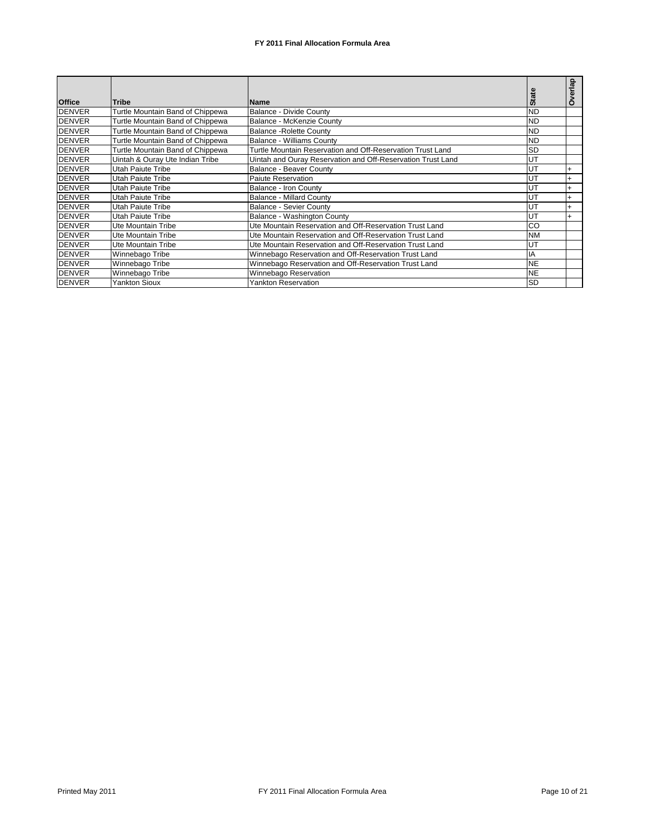|               |                                  |                                                             |           | 료         |
|---------------|----------------------------------|-------------------------------------------------------------|-----------|-----------|
| <b>Office</b> | <b>Tribe</b>                     | <b>Name</b>                                                 | Sta       | O         |
| <b>DENVER</b> | Turtle Mountain Band of Chippewa | <b>Balance - Divide County</b>                              | <b>ND</b> |           |
| <b>DENVER</b> | Turtle Mountain Band of Chippewa | Balance - McKenzie County                                   | <b>ND</b> |           |
| <b>DENVER</b> | Turtle Mountain Band of Chippewa | <b>Balance - Rolette County</b>                             | <b>ND</b> |           |
| <b>DENVER</b> | Turtle Mountain Band of Chippewa | <b>Balance - Williams County</b>                            | <b>ND</b> |           |
| <b>DENVER</b> | Turtle Mountain Band of Chippewa | Turtle Mountain Reservation and Off-Reservation Trust Land  | <b>SD</b> |           |
| <b>DENVER</b> | Uintah & Ouray Ute Indian Tribe  | Uintah and Ouray Reservation and Off-Reservation Trust Land | UT        |           |
| <b>DENVER</b> | Utah Paiute Tribe                | <b>Balance - Beaver County</b>                              | UT        | $\ddot{}$ |
| <b>DENVER</b> | Utah Paiute Tribe                | Paiute Reservation                                          | UT        |           |
| <b>DENVER</b> | Utah Paiute Tribe                | Balance - Iron County                                       | UT        |           |
| <b>DENVER</b> | Utah Paiute Tribe                | <b>Balance - Millard County</b>                             | UT        | $\ddot{}$ |
| <b>DENVER</b> | Utah Paiute Tribe                | <b>Balance - Sevier County</b>                              | UT        |           |
| <b>DENVER</b> | Utah Paiute Tribe                | Balance - Washington County                                 | UT        |           |
| <b>DENVER</b> | Ute Mountain Tribe               | Ute Mountain Reservation and Off-Reservation Trust Land     | CO        |           |
| <b>DENVER</b> | <b>Ute Mountain Tribe</b>        | Ute Mountain Reservation and Off-Reservation Trust Land     | <b>NM</b> |           |
| <b>DENVER</b> | Ute Mountain Tribe               | Ute Mountain Reservation and Off-Reservation Trust Land     | UT        |           |
| <b>DENVER</b> | Winnebago Tribe                  | Winnebago Reservation and Off-Reservation Trust Land        | IA        |           |
| <b>DENVER</b> | Winnebago Tribe                  | Winnebago Reservation and Off-Reservation Trust Land        | <b>NE</b> |           |
| <b>DENVER</b> | Winnebago Tribe                  | Winnebago Reservation                                       | <b>NE</b> |           |
| <b>DENVER</b> | <b>Yankton Sioux</b>             | <b>Yankton Reservation</b>                                  | <b>SD</b> |           |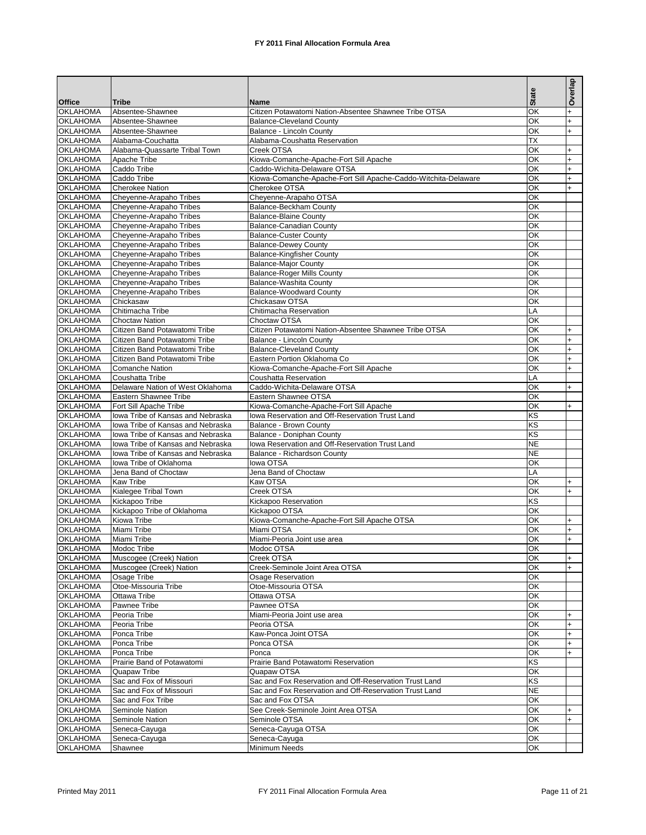|                                    |                                                                        |                                                                                 | <b>State</b>           | Overlap                          |
|------------------------------------|------------------------------------------------------------------------|---------------------------------------------------------------------------------|------------------------|----------------------------------|
| <b>Office</b><br><b>OKLAHOMA</b>   | <b>Tribe</b><br>Absentee-Shawnee                                       | Name<br>Citizen Potawatomi Nation-Absentee Shawnee Tribe OTSA                   | OK                     | $\ddot{}$                        |
| <b>OKLAHOMA</b>                    | Absentee-Shawnee                                                       | <b>Balance-Cleveland County</b>                                                 | OK                     | $\overline{+}$                   |
| <b>OKLAHOMA</b>                    | Absentee-Shawnee                                                       | Balance - Lincoln County                                                        | OK                     | $\overline{+}$                   |
| <b>OKLAHOMA</b>                    | Alabama-Couchatta                                                      | Alabama-Coushatta Reservation                                                   | ТX                     |                                  |
| <b>OKLAHOMA</b>                    | Alabama-Quassarte Tribal Town                                          | Creek OTSA                                                                      | OK                     | $\overline{+}$                   |
| <b>OKLAHOMA</b>                    | Apache Tribe                                                           | Kiowa-Comanche-Apache-Fort Sill Apache                                          | OK                     | $\overline{+}$                   |
| <b>OKLAHOMA</b>                    | Caddo Tribe                                                            | Caddo-Wichita-Delaware OTSA                                                     | OK                     | $\ddot{}$                        |
| <b>OKLAHOMA</b><br><b>OKLAHOMA</b> | Caddo Tribe<br><b>Cherokee Nation</b>                                  | Kiowa-Comanche-Apache-Fort Sill Apache-Caddo-Witchita-Delaware<br>Cherokee OTSA | OK<br>OK               | $\ddot{}$<br>$\ddot{}$           |
| <b>OKLAHOMA</b>                    | Cheyenne-Arapaho Tribes                                                | Cheyenne-Arapaho OTSA                                                           | OK                     |                                  |
| <b>OKLAHOMA</b>                    | Cheyenne-Arapaho Tribes                                                | Balance-Beckham County                                                          | OK                     |                                  |
| <b>OKLAHOMA</b>                    | Cheyenne-Arapaho Tribes                                                | <b>Balance-Blaine County</b>                                                    | OK                     |                                  |
| <b>OKLAHOMA</b>                    | Cheyenne-Arapaho Tribes                                                | <b>Balance-Canadian County</b>                                                  | OK                     |                                  |
| <b>OKLAHOMA</b>                    | Cheyenne-Arapaho Tribes                                                | <b>Balance-Custer County</b>                                                    | OK                     |                                  |
| <b>OKLAHOMA</b>                    | Cheyenne-Arapaho Tribes                                                | <b>Balance-Dewey County</b>                                                     | OK                     |                                  |
| <b>OKLAHOMA</b>                    | Cheyenne-Arapaho Tribes                                                | <b>Balance-Kingfisher County</b>                                                | OK                     |                                  |
| <b>OKLAHOMA</b><br><b>OKLAHOMA</b> | Cheyenne-Arapaho Tribes<br>Cheyenne-Arapaho Tribes                     | <b>Balance-Major County</b><br><b>Balance-Roger Mills County</b>                | OK<br>OK               |                                  |
| <b>OKLAHOMA</b>                    | Cheyenne-Arapaho Tribes                                                | Balance-Washita County                                                          | OK                     |                                  |
| <b>OKLAHOMA</b>                    | Cheyenne-Arapaho Tribes                                                | Balance-Woodward County                                                         | OK                     |                                  |
| <b>OKLAHOMA</b>                    | Chickasaw                                                              | Chickasaw OTSA                                                                  | OK                     |                                  |
| <b>OKLAHOMA</b>                    | Chitimacha Tribe                                                       | Chitimacha Reservation                                                          | LA                     |                                  |
| <b>OKLAHOMA</b>                    | <b>Choctaw Nation</b>                                                  | Choctaw OTSA                                                                    | OK                     |                                  |
| <b>OKLAHOMA</b>                    | Citizen Band Potawatomi Tribe                                          | Citizen Potawatomi Nation-Absentee Shawnee Tribe OTSA                           | OK                     | $\overline{+}$                   |
| <b>OKLAHOMA</b>                    | Citizen Band Potawatomi Tribe                                          | Balance - Lincoln County                                                        | OK                     | $\overline{+}$                   |
| <b>OKLAHOMA</b>                    | Citizen Band Potawatomi Tribe<br>Citizen Band Potawatomi Tribe         | <b>Balance-Cleveland County</b>                                                 | OK<br>OK               | $\ddot{}$<br>$\overline{+}$      |
| <b>OKLAHOMA</b><br><b>OKLAHOMA</b> | <b>Comanche Nation</b>                                                 | Eastern Portion Oklahoma Co<br>Kiowa-Comanche-Apache-Fort Sill Apache           | OK                     | $\ddot{}$                        |
| <b>OKLAHOMA</b>                    | Coushatta Tribe                                                        | Coushatta Reservation                                                           | LA                     |                                  |
| <b>OKLAHOMA</b>                    | Delaware Nation of West Oklahoma                                       | Caddo-Wichita-Delaware OTSA                                                     | OK                     | $\overline{+}$                   |
| <b>OKLAHOMA</b>                    | Eastern Shawnee Tribe                                                  | Eastern Shawnee OTSA                                                            | OK                     |                                  |
| <b>OKLAHOMA</b>                    | Fort Sill Apache Tribe                                                 | Kiowa-Comanche-Apache-Fort Sill Apache                                          | OK                     | $\overline{+}$                   |
| <b>OKLAHOMA</b>                    | lowa Tribe of Kansas and Nebraska                                      | Iowa Reservation and Off-Reservation Trust Land                                 | ΚS                     |                                  |
| <b>OKLAHOMA</b>                    | lowa Tribe of Kansas and Nebraska                                      | Balance - Brown County                                                          | ΚS                     |                                  |
| <b>OKLAHOMA</b>                    | lowa Tribe of Kansas and Nebraska                                      | Balance - Doniphan County                                                       | KS                     |                                  |
| <b>OKLAHOMA</b><br><b>OKLAHOMA</b> | lowa Tribe of Kansas and Nebraska<br>lowa Tribe of Kansas and Nebraska | lowa Reservation and Off-Reservation Trust Land<br>Balance - Richardson County  | <b>NE</b><br><b>NE</b> |                                  |
| <b>OKLAHOMA</b>                    | lowa Tribe of Oklahoma                                                 | lowa OTSA                                                                       | OK                     |                                  |
| <b>OKLAHOMA</b>                    | Jena Band of Choctaw                                                   | Jena Band of Choctaw                                                            | LA                     |                                  |
| <b>OKLAHOMA</b>                    | <b>Kaw Tribe</b>                                                       | Kaw OTSA                                                                        | OK                     | $+$                              |
| <b>OKLAHOMA</b>                    | <b>Kialegee Tribal Town</b>                                            | Creek OTSA                                                                      | OK                     | $+$                              |
| <b>OKLAHOMA</b>                    | Kickapoo Tribe                                                         | Kickapoo Reservation                                                            | KS                     |                                  |
| <b>OKLAHOMA</b>                    | Kickapoo Tribe of Oklahoma                                             | Kickapoo OTSA                                                                   | OK                     |                                  |
| <b>OKLAHOMA</b>                    | Kiowa Tribe                                                            | Kiowa-Comanche-Apache-Fort Sill Apache OTSA                                     | OK<br>OK               | $\overline{+}$                   |
| <b>OKLAHOMA</b><br><b>OKLAHOMA</b> | Miami Tribe<br>Miami Tribe                                             | Miami OTSA<br>Miami-Peoria Joint use area                                       | OK                     | $\overline{+}$<br>$\overline{+}$ |
| <b>OKLAHOMA</b>                    | Modoc Tribe                                                            | Modoc OTSA                                                                      | QK                     |                                  |
| <b>OKLAHOMA</b>                    | Muscogee (Creek) Nation                                                | Creek OTSA                                                                      | OK                     | $+$                              |
| <b>OKLAHOMA</b>                    | Muscogee (Creek) Nation                                                | Creek-Seminole Joint Area OTSA                                                  | OK                     | $+$                              |
| <b>OKLAHOMA</b>                    | Osage Tribe                                                            | Osage Reservation                                                               | OK                     |                                  |
| <b>OKLAHOMA</b>                    | Otoe-Missouria Tribe                                                   | Otoe-Missouria OTSA                                                             | OK                     |                                  |
| <b>OKLAHOMA</b>                    | Ottawa Tribe                                                           | Ottawa OTSA                                                                     | OK                     |                                  |
| <b>OKLAHOMA</b>                    | Pawnee Tribe                                                           | Pawnee OTSA                                                                     | OK                     |                                  |
| <b>OKLAHOMA</b><br><b>OKLAHOMA</b> | Peoria Tribe                                                           | Miami-Peoria Joint use area                                                     | ОК<br>OK               | $\ddot{}$<br>$\overline{+}$      |
| <b>OKLAHOMA</b>                    | Peoria Tribe<br>Ponca Tribe                                            | Peoria OTSA<br>Kaw-Ponca Joint OTSA                                             | OK                     | $\overline{+}$                   |
| <b>OKLAHOMA</b>                    | Ponca Tribe                                                            | Ponca OTSA                                                                      | OK                     | $\overline{+}$                   |
| <b>OKLAHOMA</b>                    | Ponca Tribe                                                            | Ponca                                                                           | ОК                     | $+$                              |
| <b>OKLAHOMA</b>                    | Prairie Band of Potawatomi                                             | Prairie Band Potawatomi Reservation                                             | ΚS                     |                                  |
| <b>OKLAHOMA</b>                    | Quapaw Tribe                                                           | Quapaw OTSA                                                                     | OK                     |                                  |
| <b>OKLAHOMA</b>                    | Sac and Fox of Missouri                                                | Sac and Fox Reservation and Off-Reservation Trust Land                          | ΚS                     |                                  |
| <b>OKLAHOMA</b>                    | Sac and Fox of Missouri                                                | Sac and Fox Reservation and Off-Reservation Trust Land                          | <b>NE</b>              |                                  |
| <b>OKLAHOMA</b>                    | Sac and Fox Tribe                                                      | Sac and Fox OTSA                                                                | OK                     |                                  |
| <b>OKLAHOMA</b><br><b>OKLAHOMA</b> | Seminole Nation                                                        | See Creek-Seminole Joint Area OTSA                                              | OK<br>OK               | $+$<br>$+$                       |
| <b>OKLAHOMA</b>                    | Seminole Nation<br>Seneca-Cayuga                                       | Seminole OTSA<br>Seneca-Cayuga OTSA                                             | OK                     |                                  |
| <b>OKLAHOMA</b>                    | Seneca-Cayuga                                                          | Seneca-Cayuga                                                                   | OK                     |                                  |
| <b>OKLAHOMA</b>                    | Shawnee                                                                | Minimum Needs                                                                   | OK                     |                                  |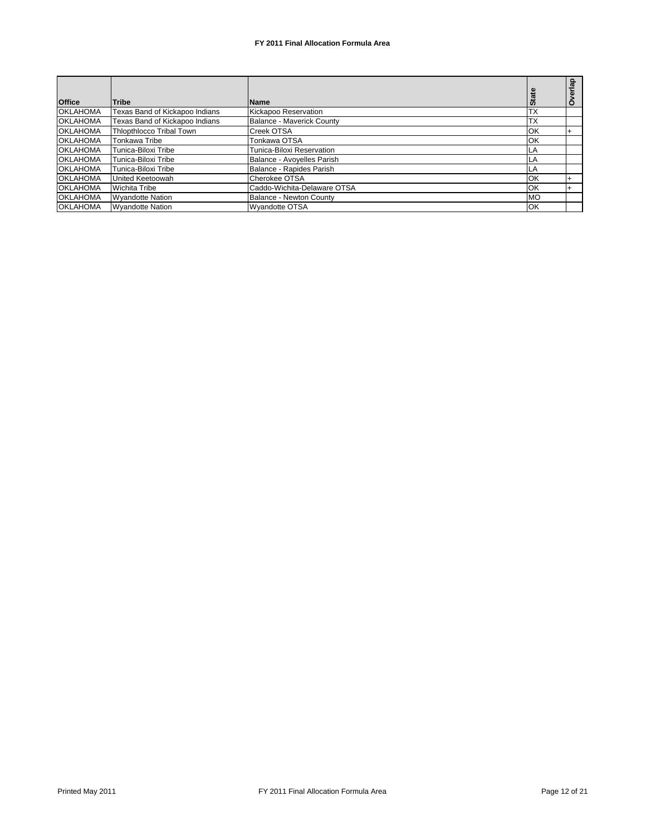| <b>Office</b>   | Tribe                           | <b>Name</b>                 | <b>State</b> | ௨ |
|-----------------|---------------------------------|-----------------------------|--------------|---|
| <b>OKLAHOMA</b> | Texas Band of Kickapoo Indians  | Kickapoo Reservation        | <b>TX</b>    |   |
| <b>OKLAHOMA</b> | Texas Band of Kickapoo Indians  | Balance - Maverick County   | <b>TX</b>    |   |
| <b>OKLAHOMA</b> | <b>Thiopthiocco Tribal Town</b> | Creek OTSA                  | OK           |   |
| <b>OKLAHOMA</b> | Tonkawa Tribe                   | Tonkawa OTSA                | OK           |   |
| <b>OKLAHOMA</b> | Tunica-Biloxi Tribe             | Tunica-Biloxi Reservation   | LA           |   |
| <b>OKLAHOMA</b> | Tunica-Biloxi Tribe             | Balance - Avoyelles Parish  | LA           |   |
| <b>OKLAHOMA</b> | Tunica-Biloxi Tribe             | Balance - Rapides Parish    | LA           |   |
| <b>OKLAHOMA</b> | <b>United Keetoowah</b>         | Cherokee OTSA               | OK           |   |
| <b>OKLAHOMA</b> | <b>Wichita Tribe</b>            | Caddo-Wichita-Delaware OTSA | OK           |   |
| <b>OKLAHOMA</b> | <b>Wyandotte Nation</b>         | Balance - Newton County     | <b>MO</b>    |   |
| <b>OKLAHOMA</b> | <b>Wyandotte Nation</b>         | <b>Wyandotte OTSA</b>       | OK           |   |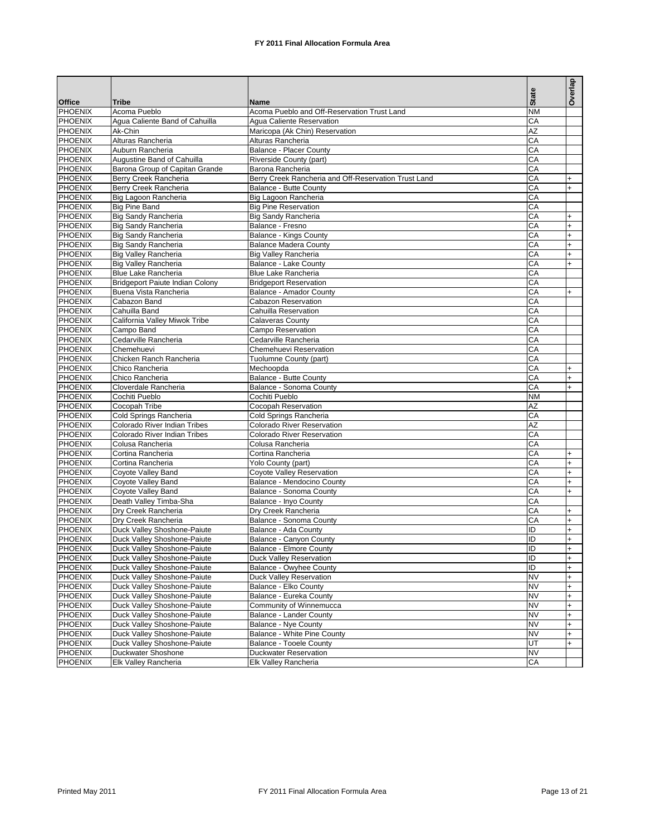|                |                                 |                                                      |              | Overlap                          |
|----------------|---------------------------------|------------------------------------------------------|--------------|----------------------------------|
| <b>Office</b>  | <b>Tribe</b>                    | <b>Name</b>                                          | <b>State</b> |                                  |
| <b>PHOENIX</b> | Acoma Pueblo                    | Acoma Pueblo and Off-Reservation Trust Land          | <b>NM</b>    |                                  |
| <b>PHOENIX</b> | Agua Caliente Band of Cahuilla  | Agua Caliente Reservation                            | CA           |                                  |
| <b>PHOENIX</b> | Ak-Chin                         | Maricopa (Ak Chin) Reservation                       | AZ           |                                  |
| PHOENIX        | Alturas Rancheria               | Alturas Rancheria                                    | CA           |                                  |
| <b>PHOENIX</b> | Auburn Rancheria                | Balance - Placer County                              | CA           |                                  |
| PHOENIX        | Augustine Band of Cahuilla      | Riverside County (part)                              | CA           |                                  |
| <b>PHOENIX</b> | Barona Group of Capitan Grande  | Barona Rancheria                                     | CA           |                                  |
| PHOENIX        | Berry Creek Rancheria           | Berry Creek Rancheria and Off-Reservation Trust Land | CA           | $\ddot{}$                        |
| <b>PHOENIX</b> | Berry Creek Rancheria           | Balance - Butte County                               | CA           | $+$                              |
| PHOENIX        | Big Lagoon Rancheria            | Big Lagoon Rancheria                                 | CA           |                                  |
| <b>PHOENIX</b> | <b>Big Pine Band</b>            | <b>Big Pine Reservation</b>                          | CA           |                                  |
| <b>PHOENIX</b> | <b>Big Sandy Rancheria</b>      | Big Sandy Rancheria                                  | CA           | $\ddot{}$                        |
| <b>PHOENIX</b> | Big Sandy Rancheria             | Balance - Fresno                                     | CA           | $+$                              |
| PHOENIX        | Big Sandy Rancheria             | Balance - Kings County                               | CA           | $+$                              |
| <b>PHOENIX</b> | Big Sandy Rancheria             | <b>Balance Madera County</b>                         | CA           | $+$                              |
| PHOENIX        | <b>Big Valley Rancheria</b>     | <b>Big Valley Rancheria</b>                          | CA           | $+$                              |
| <b>PHOENIX</b> | <b>Big Valley Rancheria</b>     | Balance - Lake County                                | CA           | $+$                              |
| PHOENIX        | Blue Lake Rancheria             | <b>Blue Lake Rancheria</b>                           | CA           |                                  |
| <b>PHOENIX</b> | Bridgeport Paiute Indian Colony | <b>Bridgeport Reservation</b>                        | CA           |                                  |
| PHOENIX        | Buena Vista Rancheria           | Balance - Amador County                              | CA           | $+$                              |
| <b>PHOENIX</b> | Cabazon Band                    | Cabazon Reservation                                  | CA           |                                  |
| PHOENIX        | Cahuilla Band                   | Cahuilla Reservation                                 | CA           |                                  |
| <b>PHOENIX</b> | California Valley Miwok Tribe   | <b>Calaveras County</b>                              | CA           |                                  |
| <b>PHOENIX</b> | Campo Band                      | Campo Reservation                                    | CA           |                                  |
| <b>PHOENIX</b> | Cedarville Rancheria            | Cedarville Rancheria                                 | CA           |                                  |
| <b>PHOENIX</b> | Chemehuevi                      | Chemehuevi Reservation                               | CA           |                                  |
| <b>PHOENIX</b> | Chicken Ranch Rancheria         | Tuolumne County (part)                               | CA           |                                  |
| PHOENIX        | Chico Rancheria                 | Mechoopda                                            | CA           | $\ddot{}$                        |
| <b>PHOENIX</b> | Chico Rancheria                 | Balance - Butte County                               | CA           | $+$                              |
| PHOENIX        | Cloverdale Rancheria            | Balance - Sonoma County                              | CA           | $+$                              |
| <b>PHOENIX</b> | Cochiti Pueblo                  | Cochiti Pueblo                                       | <b>NM</b>    |                                  |
| PHOENIX        | Cocopah Tribe                   | Cocopah Reservation                                  | <b>AZ</b>    |                                  |
| <b>PHOENIX</b> | Cold Springs Rancheria          | Cold Springs Rancheria                               | CA           |                                  |
| PHOENIX        | Colorado River Indian Tribes    | <b>Colorado River Reservation</b>                    | <b>AZ</b>    |                                  |
| <b>PHOENIX</b> | Colorado River Indian Tribes    | <b>Colorado River Reservation</b>                    | CA           |                                  |
| <b>PHOENIX</b> | Colusa Rancheria                | Colusa Rancheria                                     | CA           |                                  |
| <b>PHOENIX</b> | Cortina Rancheria               | Cortina Rancheria                                    | CA           | $\ddot{}$                        |
| <b>PHOENIX</b> | Cortina Rancheria               | Yolo County (part)                                   | CA           | $\ddot{}$                        |
| <b>PHOENIX</b> | Coyote Valley Band              | Coyote Valley Reservation                            | CA           | $\ddot{}$                        |
| <b>PHOENIX</b> | Coyote Valley Band              | Balance - Mendocino County                           | CA           | $\ddot{}$                        |
| <b>PHOENIX</b> | Coyote Valley Band              | Balance - Sonoma County                              | CA           | $\ddot{}$                        |
| <b>PHOENIX</b> | Death Valley Timba-Sha          | Balance - Inyo County                                | CA           |                                  |
| <b>PHOENIX</b> | Dry Creek Rancheria             | Dry Creek Rancheria                                  | СA           | +                                |
| <b>PHOENIX</b> | Dry Creek Rancheria             | Balance - Sonoma County                              | CA           | $\ddot{}$                        |
| <b>PHOENIX</b> | Duck Valley Shoshone-Paiute     | Balance - Ada County                                 | ID           | $\ddot{}$                        |
| <b>PHOENIX</b> | Duck Valley Shoshone-Paiute     | Balance - Canvon County                              | ID           | $\ddot{}$                        |
| <b>PHOENIX</b> | Duck Valley Shoshone-Paiute     | <b>Balance - Elmore County</b>                       | Θ            | l+                               |
| PHOENIX        | Duck Valley Shoshone-Paiute     | Duck Valley Reservation                              | ID           | $+$                              |
| <b>PHOENIX</b> | Duck Valley Shoshone-Paiute     | <b>Balance - Owyhee County</b>                       | ID           | $\ddot{}$                        |
| <b>PHOENIX</b> | Duck Valley Shoshone-Paiute     | <b>Duck Valley Reservation</b>                       | <b>NV</b>    | $+$                              |
| <b>PHOENIX</b> | Duck Valley Shoshone-Paiute     | Balance - Elko County                                | <b>NV</b>    | $\begin{array}{c} + \end{array}$ |
| <b>PHOENIX</b> | Duck Valley Shoshone-Paiute     | Balance - Eureka County                              | <b>NV</b>    | $\begin{array}{c} + \end{array}$ |
| <b>PHOENIX</b> | Duck Valley Shoshone-Paiute     | Community of Winnemucca                              | <b>NV</b>    | $\ddot{}$                        |
| <b>PHOENIX</b> | Duck Valley Shoshone-Paiute     | <b>Balance - Lander County</b>                       | <b>NV</b>    | $\ddot{}$                        |
| <b>PHOENIX</b> | Duck Valley Shoshone-Paiute     | Balance - Nye County                                 | <b>NV</b>    | $\begin{array}{c} + \end{array}$ |
| <b>PHOENIX</b> | Duck Valley Shoshone-Paiute     | Balance - White Pine County                          | <b>NV</b>    | $\ddot{}$                        |
| <b>PHOENIX</b> | Duck Valley Shoshone-Paiute     | <b>Balance - Tooele County</b>                       | UT           | $\ddot{}$                        |
| <b>PHOENIX</b> | Duckwater Shoshone              | <b>Duckwater Reservation</b>                         | <b>NV</b>    |                                  |
| <b>PHOENIX</b> | Elk Valley Rancheria            | Elk Valley Rancheria                                 | CA           |                                  |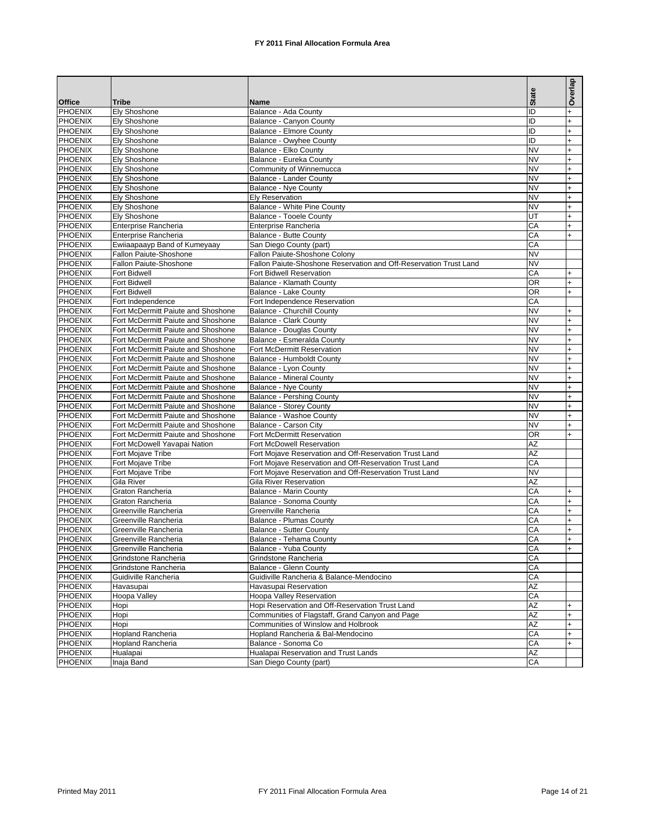|                                  |                                    |                                                                   |              | Overlap                     |
|----------------------------------|------------------------------------|-------------------------------------------------------------------|--------------|-----------------------------|
|                                  |                                    |                                                                   | <b>State</b> |                             |
| <b>Office</b>                    | <b>Tribe</b>                       | Name                                                              |              |                             |
| PHOENIX<br>PHOENIX               | Ely Shoshone<br>Ely Shoshone       | Balance - Ada County                                              | ID<br>ID     | $\ddot{}$<br>$\overline{+}$ |
| <b>PHOENIX</b>                   | Ely Shoshone                       | Balance - Canyon County<br><b>Balance - Elmore County</b>         | ID           | $+$                         |
| PHOENIX                          | Ely Shoshone                       | Balance - Owyhee County                                           | ID           | $\overline{+}$              |
| <b>PHOENIX</b>                   | Elv Shoshone                       | Balance - Elko County                                             | <b>NV</b>    | $\ddot{}$                   |
| <b>PHOENIX</b>                   | Ely Shoshone                       | Balance - Eureka County                                           | <b>NV</b>    | $+$                         |
| <b>PHOENIX</b>                   | Ely Shoshone                       | Community of Winnemucca                                           | <b>NV</b>    | $\ddot{}$                   |
| <b>PHOENIX</b>                   | Ely Shoshone                       | Balance - Lander County                                           | <b>NV</b>    | $\overline{+}$              |
| PHOENIX                          | Ely Shoshone                       | Balance - Nye County                                              | <b>NV</b>    | $\ddot{}$                   |
| <b>PHOENIX</b>                   | Ely Shoshone                       | <b>Ely Reservation</b>                                            | <b>NV</b>    | $\overline{+}$              |
| PHOENIX                          | Ely Shoshone                       | Balance - White Pine County                                       | <b>NV</b>    | $\ddot{}$                   |
| <b>PHOENIX</b>                   | Ely Shoshone                       | Balance - Tooele County                                           | UT           | $\overline{+}$              |
| PHOENIX                          | Enterprise Rancheria               | Enterprise Rancheria                                              | CA           | $\ddot{}$                   |
| <b>PHOENIX</b>                   | Enterprise Rancheria               | Balance - Butte County                                            | CA           | $\ddot{}$                   |
| PHOENIX                          | Ewiiaapaayp Band of Kumeyaay       | San Diego County (part)                                           | CA           |                             |
| <b>PHOENIX</b>                   | Fallon Paiute-Shoshone             | Fallon Paiute-Shoshone Colony                                     | <b>NV</b>    |                             |
| <b>PHOENIX</b>                   | Fallon Paiute-Shoshone             | Fallon Paiute-Shoshone Reservation and Off-Reservation Trust Land | <b>NV</b>    |                             |
| <b>PHOENIX</b>                   | Fort Bidwell                       | Fort Bidwell Reservation                                          | CA           | $+$                         |
| <b>PHOENIX</b>                   | Fort Bidwell                       | Balance - Klamath County                                          | OR           | $+$                         |
| <b>PHOENIX</b>                   | Fort Bidwell                       | Balance - Lake County                                             | OR           | $\ddot{}$                   |
| <b>PHOENIX</b>                   | Fort Independence                  | Fort Independence Reservation                                     | CA           |                             |
| PHOENIX                          | Fort McDermitt Paiute and Shoshone | Balance - Churchill County                                        | <b>NV</b>    | $+$                         |
| <b>PHOENIX</b>                   | Fort McDermitt Paiute and Shoshone | <b>Balance - Clark County</b>                                     | <b>NV</b>    | $\ddot{}$                   |
| <b>PHOENIX</b>                   | Fort McDermitt Paiute and Shoshone | <b>Balance - Douglas County</b>                                   | <b>NV</b>    | $\overline{+}$              |
| <b>PHOENIX</b>                   | Fort McDermitt Paiute and Shoshone | Balance - Esmeralda County                                        | <b>NV</b>    | $\ddot{}$                   |
| <b>PHOENIX</b>                   | Fort McDermitt Paiute and Shoshone | Fort McDermitt Reservation                                        | <b>NV</b>    | $+$                         |
| PHOENIX                          | Fort McDermitt Paiute and Shoshone | Balance - Humboldt County                                         | <b>NV</b>    | $\ddot{}$                   |
| <b>PHOENIX</b>                   | Fort McDermitt Paiute and Shoshone | Balance - Lyon County                                             | <b>NV</b>    | $\overline{+}$              |
| PHOENIX                          | Fort McDermitt Paiute and Shoshone | <b>Balance - Mineral County</b>                                   | <b>NV</b>    | $\ddot{}$                   |
| <b>PHOENIX</b>                   | Fort McDermitt Paiute and Shoshone | Balance - Nye County                                              | <b>NV</b>    | $\overline{+}$              |
| PHOENIX                          | Fort McDermitt Paiute and Shoshone | <b>Balance - Pershing County</b>                                  | <b>NV</b>    | $\ddot{}$                   |
| <b>PHOENIX</b>                   | Fort McDermitt Paiute and Shoshone | <b>Balance - Storey County</b>                                    | <b>NV</b>    | $\ddot{}$                   |
| <b>PHOENIX</b>                   | Fort McDermitt Paiute and Shoshone | Balance - Washoe County                                           | <b>NV</b>    | $\ddot{}$                   |
| <b>PHOENIX</b>                   | Fort McDermitt Paiute and Shoshone | Balance - Carson City                                             | <b>NV</b>    | $\ddot{}$                   |
| <b>PHOENIX</b>                   | Fort McDermitt Paiute and Shoshone | Fort McDermitt Reservation                                        | OR           | $\ddot{}$                   |
| <b>PHOENIX</b>                   | Fort McDowell Yavapai Nation       | Fort McDowell Reservation                                         | AZ           |                             |
| <b>PHOENIX</b>                   | Fort Mojave Tribe                  | Fort Mojave Reservation and Off-Reservation Trust Land            | AZ           |                             |
| PHOENIX                          | Fort Mojave Tribe                  | Fort Mojave Reservation and Off-Reservation Trust Land            | CA           |                             |
| <b>PHOENIX</b>                   | Fort Mojave Tribe                  | Fort Mojave Reservation and Off-Reservation Trust Land            | <b>NV</b>    |                             |
| <b>PHOENIX</b>                   | Gila River                         | <b>Gila River Reservation</b>                                     | ΑZ           |                             |
| <b>PHOENIX</b>                   | Graton Rancheria                   | Balance - Marin County                                            | CA           | $\ddot{}$                   |
| <b>PHOENIX</b>                   | Graton Rancheria                   | Balance - Sonoma County                                           | CA           | $\overline{+}$              |
| PHOENIX                          | Greenville Rancheria               | Greenville Rancheria                                              | СA           | $\ddot{}$                   |
| <b>PHOENIX</b>                   | Greenville Rancheria               | <b>Balance - Plumas County</b>                                    | СA           | $+$                         |
| <b>PHOENIX</b>                   | Greenville Rancheria               | <b>Balance - Sutter County</b>                                    | СA           | $\ddot{}$                   |
| <b>PHOENIX</b>                   | Greenville Rancheria               | Balance - Tehama County                                           | СA           | $\ddot{}$                   |
| PHOENIX                          | Greenville Rancheria               | Balance - Yuba County                                             | CA           |                             |
| <b>PHOENIX</b>                   | Grindstone Rancheria               | Grindstone Rancheria                                              | СA           |                             |
| <b>PHOENIX</b><br><b>PHOENIX</b> | Grindstone Rancheria               | Balance - Glenn County                                            | СA           |                             |
|                                  | Guidiville Rancheria               | Guidiville Rancheria & Balance-Mendocino                          | СA           |                             |
| <b>PHOENIX</b><br><b>PHOENIX</b> | Havasupai                          | Havasupai Reservation<br>Hoopa Valley Reservation                 | ΑZ           |                             |
| <b>PHOENIX</b>                   | Hoopa Valley                       | Hopi Reservation and Off-Reservation Trust Land                   | CA<br>ΑZ     |                             |
| <b>PHOENIX</b>                   | Hopi                               | Communities of Flagstaff, Grand Canyon and Page                   | ΑZ           | $\ddot{}$<br>$\ddot{}$      |
| <b>PHOENIX</b>                   | Hopi<br>Hopi                       | Communities of Winslow and Holbrook                               | ΑZ           | $\ddot{}$                   |
| <b>PHOENIX</b>                   | <b>Hopland Rancheria</b>           | Hopland Rancheria & Bal-Mendocino                                 | CA           | $\ddot{}$                   |
| <b>PHOENIX</b>                   | <b>Hopland Rancheria</b>           | Balance - Sonoma Co                                               | CA           | $\ddot{}$                   |
| <b>PHOENIX</b>                   | Hualapai                           | Hualapai Reservation and Trust Lands                              | ΑZ           |                             |
| <b>PHOENIX</b>                   | Inaja Band                         | San Diego County (part)                                           | CA           |                             |
|                                  |                                    |                                                                   |              |                             |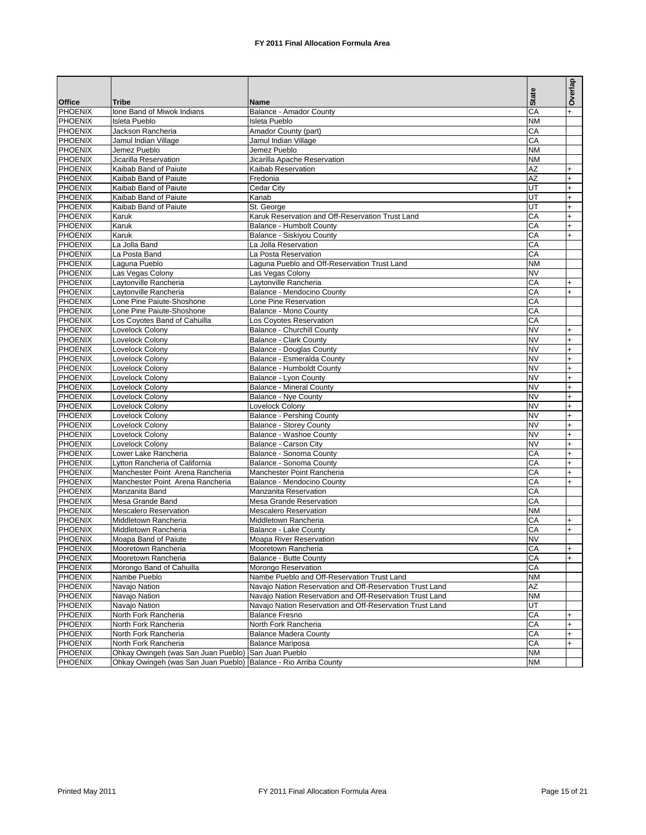|                                  |                                              |                                                          |                 | Overlap   |
|----------------------------------|----------------------------------------------|----------------------------------------------------------|-----------------|-----------|
| <b>Office</b>                    | <b>Tribe</b>                                 | Name                                                     | <b>State</b>    |           |
| <b>PHOENIX</b>                   | Ione Band of Miwok Indians                   | <b>Balance - Amador County</b>                           | CA              |           |
| <b>PHOENIX</b>                   | <b>Isleta Pueblo</b>                         | <b>Isleta Pueblo</b>                                     | <b>NM</b>       |           |
| PHOENIX                          | Jackson Rancheria                            | Amador County (part)                                     | CA              |           |
| PHOENIX                          | Jamul Indian Village                         | Jamul Indian Village                                     | CA              |           |
| PHOENIX                          | Jemez Pueblo                                 | Jemez Pueblo                                             | <b>NM</b>       |           |
| PHOENIX                          | Jicarilla Reservation                        | Jicarilla Apache Reservation                             | <b>NM</b>       |           |
| PHOENIX                          | Kaibab Band of Paiute                        | Kaibab Reservation                                       | $\overline{AZ}$ | $\ddot{}$ |
| PHOENIX                          | Kaibab Band of Paiute                        | Fredonia                                                 | AZ              | $\ddot{}$ |
| PHOENIX                          | Kaibab Band of Paiute                        | Cedar City                                               | UT              | $\ddot{}$ |
| PHOENIX                          | Kaibab Band of Paiute                        | Kanab                                                    | UT              | $\ddot{}$ |
| PHOENIX                          | Kaibab Band of Paiute                        | St. George                                               | UT              | $\ddot{}$ |
| PHOENIX                          | Karuk                                        | Karuk Reservation and Off-Reservation Trust Land         | CA              | $\ddot{}$ |
| PHOENIX                          | Karuk                                        | Balance - Humbolt County                                 | CA              | $\ddot{}$ |
| PHOENIX                          | Karuk                                        | Balance - Siskiyou County                                | CA              | $\ddot{}$ |
| PHOENIX                          | La Jolla Band                                | La Jolla Reservation                                     | CA              |           |
| PHOENIX                          | La Posta Band                                | La Posta Reservation                                     | CA              |           |
| PHOENIX                          | Laguna Pueblo                                | Laguna Pueblo and Off-Reservation Trust Land             | <b>NM</b>       |           |
| PHOENIX                          | Las Vegas Colony                             | Las Vegas Colony                                         | <b>NV</b>       |           |
| PHOENIX                          | Laytonville Rancheria                        | Laytonville Rancheria                                    | CA              | $\ddot{}$ |
| PHOENIX                          | Lavtonville Rancheria                        | Balance - Mendocino County                               | CA              | $\ddot{}$ |
| PHOENIX                          | Lone Pine Paiute-Shoshone                    | Lone Pine Reservation                                    | CA              |           |
| PHOENIX                          | Lone Pine Paiute-Shoshone                    | Balance - Mono County                                    | CA              |           |
| PHOENIX                          | Los Coyotes Band of Cahuilla                 | Los Coyotes Reservation                                  | CA              |           |
| PHOENIX                          | Lovelock Colony                              | Balance - Churchill County                               | <b>NV</b>       | $\ddot{}$ |
| PHOENIX                          | Lovelock Colony                              | <b>Balance - Clark County</b>                            | <b>NV</b>       | $\ddot{}$ |
| PHOENIX                          | Lovelock Colony                              | <b>Balance - Douglas County</b>                          | <b>NV</b>       | $\ddot{}$ |
| PHOENIX                          | Lovelock Colony                              | Balance - Esmeralda County                               | <b>NV</b>       | $\ddot{}$ |
| <b>PHOENIX</b>                   | Lovelock Colony                              | Balance - Humboldt County                                | <b>NV</b>       | $\ddot{}$ |
| PHOENIX                          | Lovelock Colony                              | Balance - Lyon County                                    | <b>NV</b>       | $\ddot{}$ |
| PHOENIX                          | Lovelock Colony                              | <b>Balance - Mineral County</b>                          | <b>NV</b>       | $\ddot{}$ |
| PHOENIX                          | Lovelock Colony                              | Balance - Nye County                                     | <b>NV</b>       | $\ddot{}$ |
| PHOENIX                          | Lovelock Colony                              | Lovelock Colony                                          | <b>NV</b>       | $\ddot{}$ |
| PHOENIX                          | Lovelock Colony                              | <b>Balance - Pershing County</b>                         | <b>NV</b>       | $\ddot{}$ |
| PHOENIX                          | Lovelock Colony                              | <b>Balance - Storey County</b>                           | <b>NV</b>       | $\ddot{}$ |
| PHOENIX                          | Lovelock Colony                              | Balance - Washoe County                                  | <b>NV</b>       | $\ddot{}$ |
| PHOENIX                          | Lovelock Colony                              | Balance - Carson City                                    | <b>NV</b>       | $\ddot{}$ |
| PHOENIX                          | Lower Lake Rancheria                         | Balance - Sonoma County                                  | CA              | $\ddot{}$ |
| <b>PHOENIX</b>                   | Lytton Rancheria of California               | Balance - Sonoma County                                  | CA              | $\ddot{}$ |
| <b>PHOENIX</b>                   | Manchester Point Arena Rancheria             | Manchester Point Rancheria                               | CA              | $+$       |
| PHOENIX                          | Manchester Point Arena Rancheria             | Balance - Mendocino County                               | CA              | $\ddot{}$ |
| <b>PHOENIX</b>                   | Manzanita Band                               | Manzanita Reservation                                    | CA              |           |
| PHOENIX                          | Mesa Grande Band                             | <b>Mesa Grande Reservation</b>                           | CA              |           |
| <b>PHOENIX</b>                   | <b>Mescalero Reservation</b>                 | <b>Mescalero Reservation</b>                             | <b>NM</b>       |           |
| PHOENIX                          | Middletown Rancheria                         | Middletown Rancheria                                     | CA              | $+$       |
| <b>PHOENIX</b>                   | Middletown Rancheria                         | Balance - Lake County                                    | CA              | $+$       |
| <b>PHOENIX</b>                   | Moapa Band of Paiute                         | Moapa River Reservation                                  | <b>NV</b>       |           |
| <b>PHOENIX</b>                   | Mooretown Rancheria                          | Mooretown Rancheria                                      | CA              | I+        |
| PHOENIX                          | Mooretown Rancheria                          | Balance - Butte County                                   | CA              |           |
| <b>PHOENIX</b>                   | Morongo Band of Cahuilla                     | Morongo Reservation                                      | CA              |           |
| PHOENIX                          | Nambe Pueblo                                 | Nambe Pueblo and Off-Reservation Trust Land              | <b>NM</b>       |           |
| PHOENIX<br><b>PHOENIX</b>        | Navajo Nation                                | Navajo Nation Reservation and Off-Reservation Trust Land | $\overline{AZ}$ |           |
|                                  | Navajo Nation                                | Navajo Nation Reservation and Off-Reservation Trust Land | <b>NM</b>       |           |
| <b>PHOENIX</b><br><b>PHOENIX</b> | Navajo Nation                                | Navajo Nation Reservation and Off-Reservation Trust Land | UT<br>CA        |           |
| <b>PHOENIX</b>                   | North Fork Rancheria                         | <b>Balance Fresno</b>                                    |                 | $\ddot{}$ |
| <b>PHOENIX</b>                   | North Fork Rancheria                         | North Fork Rancheria<br><b>Balance Madera County</b>     | CA              | $+$       |
| <b>PHOENIX</b>                   | North Fork Rancheria<br>North Fork Rancheria | <b>Balance Mariposa</b>                                  | СA<br>CA        | $+$       |
| <b>PHOENIX</b>                   | Ohkay Owingeh (was San Juan Pueblo)          | San Juan Pueblo                                          | NM              | $\ddot{}$ |
| <b>PHOENIX</b>                   | Ohkay Owingeh (was San Juan Pueblo)          | Balance - Rio Arriba County                              | <b>NM</b>       |           |
|                                  |                                              |                                                          |                 |           |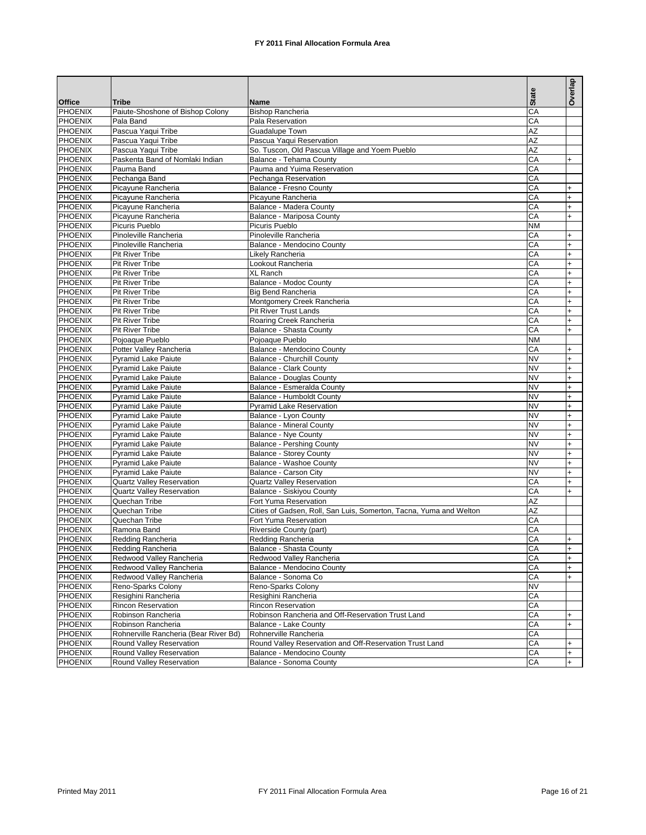|                |                                       |                                                                    | <b>State</b>    | Overlap   |
|----------------|---------------------------------------|--------------------------------------------------------------------|-----------------|-----------|
| <b>Office</b>  | <b>Tribe</b>                          | <b>Name</b>                                                        |                 |           |
| <b>PHOENIX</b> | Paiute-Shoshone of Bishop Colony      | <b>Bishop Rancheria</b>                                            | CA              |           |
| <b>PHOENIX</b> | Pala Band                             | Pala Reservation                                                   | CA              |           |
| <b>PHOENIX</b> | Pascua Yaqui Tribe                    | Guadalupe Town                                                     | $\overline{AZ}$ |           |
| <b>PHOENIX</b> | Pascua Yaqui Tribe                    | Pascua Yaqui Reservation                                           | <b>AZ</b>       |           |
| <b>PHOENIX</b> | Pascua Yaqui Tribe                    | So. Tuscon, Old Pascua Village and Yoem Pueblo                     | $\overline{AZ}$ |           |
| PHOENIX        | Paskenta Band of Nomlaki Indian       | Balance - Tehama County                                            | CA              | $+$       |
| <b>PHOENIX</b> | Pauma Band                            | Pauma and Yuima Reservation                                        | CA              |           |
| PHOENIX        | Pechanga Band                         | Pechanga Reservation                                               | CA              |           |
| <b>PHOENIX</b> | Picayune Rancheria                    | Balance - Fresno County                                            | CA              | $\ddot{}$ |
| <b>PHOENIX</b> | Picayune Rancheria                    | Picayune Rancheria                                                 | CA              | $\ddot{}$ |
| <b>PHOENIX</b> | Picayune Rancheria                    | Balance - Madera County                                            | CA              | $\ddot{}$ |
| PHOENIX        | Picavune Rancheria                    | Balance - Mariposa County                                          | CA              | $+$       |
| <b>PHOENIX</b> | Picuris Pueblo                        | Picuris Pueblo                                                     | <b>NM</b>       |           |
| PHOENIX        | Pinoleville Rancheria                 | Pinoleville Rancheria                                              | CA              | $\ddot{}$ |
| <b>PHOENIX</b> | Pinoleville Rancheria                 | Balance - Mendocino County                                         | CA              | $\ddot{}$ |
| <b>PHOENIX</b> | <b>Pit River Tribe</b>                | Likely Rancheria                                                   | CA              | $\ddot{}$ |
| <b>PHOENIX</b> | Pit River Tribe                       | Lookout Rancheria                                                  | CA              | $\ddot{}$ |
| <b>PHOENIX</b> | <b>Pit River Tribe</b>                | XL Ranch                                                           | CA              | $\ddot{}$ |
| <b>PHOENIX</b> | <b>Pit River Tribe</b>                | Balance - Modoc County                                             | CA              | $+$       |
| <b>PHOENIX</b> | <b>Pit River Tribe</b>                | Big Bend Rancheria                                                 | CA              | $\ddot{}$ |
| <b>PHOENIX</b> | Pit River Tribe                       | Montgomery Creek Rancheria                                         | CA              | $+$       |
| PHOENIX        | Pit River Tribe                       | <b>Pit River Trust Lands</b>                                       | CA              | $\ddot{}$ |
| <b>PHOENIX</b> | <b>Pit River Tribe</b>                | Roaring Creek Rancheria                                            | CA              | $+$       |
| PHOENIX        | Pit River Tribe                       | Balance - Shasta County                                            | CA              | $\ddot{}$ |
| <b>PHOENIX</b> | Pojoaque Pueblo                       |                                                                    | <b>NM</b>       |           |
| <b>PHOENIX</b> |                                       | Pojoaque Pueblo                                                    |                 |           |
|                | Potter Valley Rancheria               | Balance - Mendocino County                                         | CA              | $\ddot{}$ |
| <b>PHOENIX</b> | <b>Pyramid Lake Paiute</b>            | <b>Balance - Churchill County</b>                                  | <b>NV</b>       | $\ddot{}$ |
| <b>PHOENIX</b> | <b>Pyramid Lake Paiute</b>            | <b>Balance - Clark County</b>                                      | <b>NV</b>       | $\ddot{}$ |
| <b>PHOENIX</b> | <b>Pyramid Lake Paiute</b>            | <b>Balance - Douglas County</b>                                    | <b>NV</b>       | $\ddot{}$ |
| PHOENIX        | <b>Pyramid Lake Paiute</b>            | Balance - Esmeralda County                                         | <b>NV</b>       | $\ddot{}$ |
| <b>PHOENIX</b> | <b>Pyramid Lake Paiute</b>            | Balance - Humboldt County                                          | <b>NV</b>       | $\ddot{}$ |
| <b>PHOENIX</b> | <b>Pyramid Lake Paiute</b>            | <b>Pyramid Lake Reservation</b>                                    | <b>NV</b>       | $\ddot{}$ |
| <b>PHOENIX</b> | <b>Pyramid Lake Paiute</b>            | Balance - Lyon County                                              | <b>NV</b>       | $\ddot{}$ |
| <b>PHOENIX</b> | <b>Pyramid Lake Paiute</b>            | <b>Balance - Mineral County</b>                                    | <b>NV</b>       | $\ddot{}$ |
| <b>PHOENIX</b> | <b>Pyramid Lake Paiute</b>            | Balance - Nye County                                               | <b>NV</b>       | $\ddot{}$ |
| <b>PHOENIX</b> | <b>Pyramid Lake Paiute</b>            | <b>Balance - Pershing County</b>                                   | <b>NV</b>       | $\ddot{}$ |
| <b>PHOENIX</b> | <b>Pyramid Lake Paiute</b>            | <b>Balance - Storey County</b>                                     | <b>NV</b>       | $\ddot{}$ |
| <b>PHOENIX</b> | <b>Pyramid Lake Paiute</b>            | Balance - Washoe County                                            | <b>NV</b>       | $\ddot{}$ |
| <b>PHOENIX</b> | <b>Pyramid Lake Paiute</b>            | Balance - Carson City                                              | <b>NV</b>       | $\ddot{}$ |
| <b>PHOENIX</b> | <b>Quartz Valley Reservation</b>      | <b>Quartz Valley Reservation</b>                                   | CA              | $\ddot{}$ |
| <b>PHOENIX</b> | <b>Quartz Valley Reservation</b>      | Balance - Siskiyou County                                          | CA              | $\ddot{}$ |
| <b>PHOENIX</b> | Quechan Tribe                         | Fort Yuma Reservation                                              | AZ              |           |
| <b>PHOENIX</b> | Quechan Tribe                         | Cities of Gadsen, Roll, San Luis, Somerton, Tacna, Yuma and Welton | AZ              |           |
| <b>PHOENIX</b> | Quechan Tribe                         | Fort Yuma Reservation                                              | СA              |           |
| <b>PHOENIX</b> | Ramona Band                           | Riverside County (part)                                            | СA              |           |
| <b>PHOENIX</b> | Redding Rancheria                     | Redding Rancheria                                                  | СA              | +         |
| <b>PHOENIX</b> | Redding Rancheria                     | Balance - Shasta County                                            | CA              | $+$       |
| PHOENIX        | Redwood Valley Rancheria              | Redwood Valley Rancheria                                           | CA              | $+$       |
| <b>PHOENIX</b> | Redwood Valley Rancheria              | Balance - Mendocino County                                         | СA              | $\ddot{}$ |
| <b>PHOENIX</b> | Redwood Valley Rancheria              | Balance - Sonoma Co                                                | CA              | $\ddot{}$ |
| <b>PHOENIX</b> | Reno-Sparks Colony                    | Reno-Sparks Colony                                                 | <b>NV</b>       |           |
| <b>PHOENIX</b> | Resighini Rancheria                   | Resighini Rancheria                                                | CA              |           |
| <b>PHOENIX</b> | <b>Rincon Reservation</b>             | Rincon Reservation                                                 | СA              |           |
| <b>PHOENIX</b> | Robinson Rancheria                    | Robinson Rancheria and Off-Reservation Trust Land                  | CA              | +         |
| <b>PHOENIX</b> | Robinson Rancheria                    | Balance - Lake County                                              | СA              | $\ddot{}$ |
| <b>PHOENIX</b> | Rohnerville Rancheria (Bear River Bd) | Rohnerville Rancheria                                              | CA              |           |
| <b>PHOENIX</b> | Round Valley Reservation              | Round Valley Reservation and Off-Reservation Trust Land            | СA              | $\ddot{}$ |
| <b>PHOENIX</b> | Round Valley Reservation              | Balance - Mendocino County                                         | СA              | $\ddot{}$ |
| <b>PHOENIX</b> | Round Valley Reservation              | Balance - Sonoma County                                            | CA              |           |
|                |                                       |                                                                    |                 | $+$       |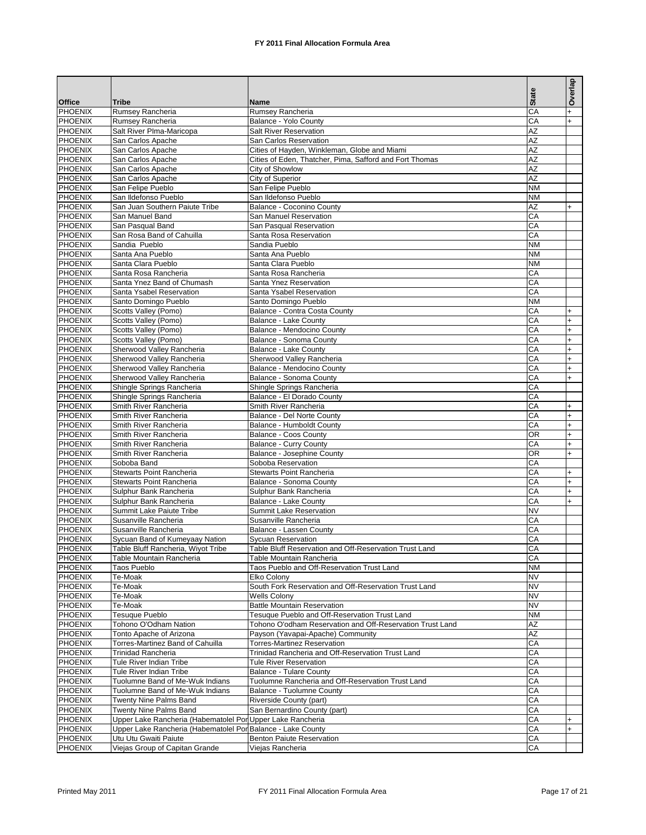|                                  |                                                                    |                                                                                | <b>State</b>           | Overlap                |
|----------------------------------|--------------------------------------------------------------------|--------------------------------------------------------------------------------|------------------------|------------------------|
| <b>Office</b>                    | <b>Tribe</b>                                                       | <b>Name</b>                                                                    |                        |                        |
| <b>PHOENIX</b>                   | Rumsey Rancheria                                                   | Rumsey Rancheria                                                               | CA                     | $+$                    |
| PHOENIX<br><b>PHOENIX</b>        | Rumsey Rancheria<br>Salt River Plma-Maricopa                       | Balance - Yolo County<br>Salt River Reservation                                | CA<br>AZ               | $+$                    |
| PHOENIX                          | San Carlos Apache                                                  | San Carlos Reservation                                                         | <b>AZ</b>              |                        |
| <b>PHOENIX</b>                   | San Carlos Apache                                                  | Cities of Hayden, Winkleman, Globe and Miami                                   | <b>AZ</b>              |                        |
| PHOENIX                          | San Carlos Apache                                                  | Cities of Eden, Thatcher, Pima, Safford and Fort Thomas                        | <b>AZ</b>              |                        |
| <b>PHOENIX</b>                   | San Carlos Apache                                                  | City of Showlow                                                                | <b>AZ</b>              |                        |
| PHOENIX                          | San Carlos Apache                                                  | City of Superior                                                               | <b>AZ</b>              |                        |
| <b>PHOENIX</b>                   | San Felipe Pueblo                                                  | San Felipe Pueblo                                                              | <b>NM</b>              |                        |
| PHOENIX                          | San Ildefonso Pueblo                                               | San Ildefonso Pueblo                                                           | <b>NM</b>              |                        |
| <b>PHOENIX</b><br><b>PHOENIX</b> | San Juan Southern Paiute Tribe<br>San Manuel Band                  | Balance - Coconino County<br>San Manuel Reservation                            | <b>AZ</b><br>CA        | $+$                    |
| <b>PHOENIX</b>                   | San Pasqual Band                                                   | San Pasqual Reservation                                                        | CA                     |                        |
| PHOENIX                          | San Rosa Band of Cahuilla                                          | Santa Rosa Reservation                                                         | CA                     |                        |
| <b>PHOENIX</b>                   | Sandia Pueblo                                                      | Sandia Pueblo                                                                  | <b>NM</b>              |                        |
| PHOENIX                          | Santa Ana Pueblo                                                   | Santa Ana Pueblo                                                               | <b>NM</b>              |                        |
| <b>PHOENIX</b>                   | Santa Clara Pueblo                                                 | Santa Clara Pueblo                                                             | <b>NM</b>              |                        |
| PHOENIX                          | Santa Rosa Rancheria                                               | Santa Rosa Rancheria                                                           | CA                     |                        |
| PHOENIX                          | Santa Ynez Band of Chumash                                         | Santa Ynez Reservation                                                         | CA                     |                        |
| PHOENIX                          | Santa Ysabel Reservation                                           | Santa Ysabel Reservation                                                       | CA                     |                        |
| <b>PHOENIX</b><br>PHOENIX        | Santo Domingo Pueblo<br>Scotts Valley (Pomo)                       | Santo Domingo Pueblo<br>Balance - Contra Costa County                          | <b>NM</b><br>CA        |                        |
| <b>PHOENIX</b>                   | Scotts Valley (Pomo)                                               | Balance - Lake County                                                          | CA                     | $\ddot{}$<br>$\ddot{}$ |
| PHOENIX                          | Scotts Valley (Pomo)                                               | Balance - Mendocino County                                                     | CA                     | $\ddot{}$              |
| <b>PHOENIX</b>                   | Scotts Valley (Pomo)                                               | Balance - Sonoma County                                                        | CA                     | $\ddot{}$              |
| PHOENIX                          | Sherwood Valley Rancheria                                          | Balance - Lake County                                                          | CA                     | $\ddot{}$              |
| <b>PHOENIX</b>                   | Sherwood Valley Rancheria                                          | Sherwood Valley Rancheria                                                      | CA                     | $+$                    |
| PHOENIX                          | Sherwood Valley Rancheria                                          | Balance - Mendocino County                                                     | CA                     | $\ddot{}$              |
| <b>PHOENIX</b>                   | Sherwood Valley Rancheria                                          | Balance - Sonoma County                                                        | CA                     | $\ddot{}$              |
| PHOENIX                          | Shingle Springs Rancheria                                          | Shingle Springs Rancheria                                                      | CA                     |                        |
| <b>PHOENIX</b>                   | Shingle Springs Rancheria                                          | Balance - El Dorado County                                                     | CA                     |                        |
| PHOENIX<br><b>PHOENIX</b>        | Smith River Rancheria<br>Smith River Rancheria                     | Smith River Rancheria<br>Balance - Del Norte County                            | CA<br>CA               | $\ddot{}$<br>$\ddot{}$ |
| PHOENIX                          | Smith River Rancheria                                              | Balance - Humboldt County                                                      | CA                     | $\ddot{}$              |
| <b>PHOENIX</b>                   | Smith River Rancheria                                              | Balance - Coos County                                                          | <b>OR</b>              | $\ddot{}$              |
| PHOENIX                          | Smith River Rancheria                                              | <b>Balance - Curry County</b>                                                  | СA                     | $\ddot{}$              |
| <b>PHOENIX</b>                   | Smith River Rancheria                                              | Balance - Josephine County                                                     | <b>OR</b>              | $\ddot{}$              |
| <b>PHOENIX</b>                   | Soboba Band                                                        | Soboba Reservation                                                             | CA                     |                        |
| <b>PHOENIX</b>                   | <b>Stewarts Point Rancheria</b>                                    | Stewarts Point Rancheria                                                       | СA                     | $\ddot{}$              |
| <b>PHOENIX</b>                   | Stewarts Point Rancheria                                           | Balance - Sonoma County                                                        | СA                     | $\ddot{}$              |
| <b>PHOENIX</b>                   | Sulphur Bank Rancheria                                             | Sulphur Bank Rancheria                                                         | СA                     | $\ddot{}$              |
| <b>PHOENIX</b><br><b>PHOENIX</b> | Sulphur Bank Rancheria<br>Summit Lake Paiute Tribe                 | Balance - Lake County<br><b>Summit Lake Reservation</b>                        | CA<br><b>NV</b>        | $\ddot{}$              |
| <b>PHOENIX</b>                   | Susanville Rancheria                                               | Susanville Rancheria                                                           | СA                     |                        |
| <b>PHOENIX</b>                   | Susanville Rancheria                                               | Balance - Lassen County                                                        | СA                     |                        |
| <b>PHOENIX</b>                   | Sycuan Band of Kumeyaay Nation                                     | Sycuan Reservation                                                             | СA                     |                        |
| <b>PHOENIX</b>                   | Table Bluff Rancheria, Wiyot Tribe                                 | Table Bluff Reservation and Off-Reservation Trust Land                         | CA                     |                        |
| <b>PHOENIX</b>                   | Table Mountain Rancheria                                           | Table Mountain Rancheria                                                       | СA                     |                        |
| <b>PHOENIX</b>                   | Taos Pueblo                                                        | Taos Pueblo and Off-Reservation Trust Land                                     | <b>NM</b>              |                        |
| <b>PHOENIX</b>                   | Te-Moak                                                            | Elko Colony                                                                    | <b>NV</b>              |                        |
| <b>PHOENIX</b><br><b>PHOENIX</b> | Te-Moak<br>Te-Moak                                                 | South Fork Reservation and Off-Reservation Trust Land<br><b>Wells Colony</b>   | <b>NV</b><br><b>NV</b> |                        |
| <b>PHOENIX</b>                   | Te-Moak                                                            | <b>Battle Mountain Reservation</b>                                             | <b>NV</b>              |                        |
| <b>PHOENIX</b>                   | Tesuque Pueblo                                                     | Tesuque Pueblo and Off-Reservation Trust Land                                  | <b>NM</b>              |                        |
| <b>PHOENIX</b>                   | Tohono O'Odham Nation                                              | Tohono O'odham Reservation and Off-Reservation Trust Land                      | AΖ                     |                        |
| <b>PHOENIX</b>                   | Tonto Apache of Arizona                                            | Payson (Yavapai-Apache) Community                                              | AZ                     |                        |
| <b>PHOENIX</b>                   | Torres-Martinez Band of Cahuilla                                   | <b>Torres-Martinez Reservation</b>                                             | СA                     |                        |
| <b>PHOENIX</b>                   | <b>Trinidad Rancheria</b>                                          | Trinidad Rancheria and Off-Reservation Trust Land                              | СA                     |                        |
| <b>PHOENIX</b>                   | Tule River Indian Tribe                                            | <b>Tule River Reservation</b>                                                  | СA                     |                        |
| <b>PHOENIX</b>                   | Tule River Indian Tribe                                            | <b>Balance - Tulare County</b>                                                 | СA                     |                        |
| <b>PHOENIX</b><br><b>PHOENIX</b> | Tuolumne Band of Me-Wuk Indians<br>Tuolumne Band of Me-Wuk Indians | Tuolumne Rancheria and Off-Reservation Trust Land<br>Balance - Tuolumne County | СA<br>СA               |                        |
| <b>PHOENIX</b>                   | Twenty Nine Palms Band                                             | Riverside County (part)                                                        | СA                     |                        |
| <b>PHOENIX</b>                   | Twenty Nine Palms Band                                             | San Bernardino County (part)                                                   | СA                     |                        |
| <b>PHOENIX</b>                   | Upper Lake Rancheria (Habematolel Por Upper Lake Rancheria         |                                                                                | СA                     | +                      |
| <b>PHOENIX</b>                   | Upper Lake Rancheria (Habematolel Por Balance - Lake County        |                                                                                | СA                     | $\ddot{}$              |
| <b>PHOENIX</b>                   | Utu Utu Gwaiti Paiute                                              | <b>Benton Paiute Reservation</b>                                               | СA                     |                        |
| <b>PHOENIX</b>                   | Viejas Group of Capitan Grande                                     | Viejas Rancheria                                                               | СA                     |                        |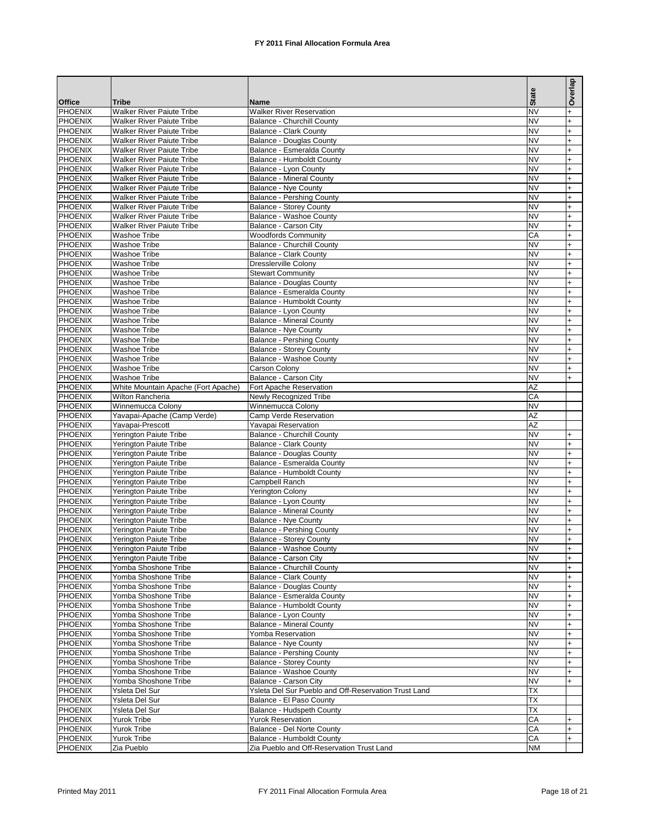|                                  |                                                                      |                                                                    |                        | Overlap                |
|----------------------------------|----------------------------------------------------------------------|--------------------------------------------------------------------|------------------------|------------------------|
|                                  |                                                                      |                                                                    | <b>State</b>           |                        |
| <b>Office</b><br>PHOENIX         | <b>Tribe</b>                                                         | <b>Name</b>                                                        | <b>NV</b>              |                        |
| <b>PHOENIX</b>                   | <b>Walker River Paiute Tribe</b><br><b>Walker River Paiute Tribe</b> | <b>Walker River Reservation</b><br>Balance - Churchill County      | <b>NV</b>              | $\ddot{}$<br>$\ddot{}$ |
| <b>PHOENIX</b>                   | Walker River Paiute Tribe                                            | <b>Balance - Clark County</b>                                      | <b>NV</b>              | $\ddot{}$              |
| <b>PHOENIX</b>                   | <b>Walker River Paiute Tribe</b>                                     | <b>Balance - Douglas County</b>                                    | <b>NV</b>              | $\ddot{}$              |
| PHOENIX                          | <b>Walker River Paiute Tribe</b>                                     | Balance - Esmeralda County                                         | <b>NV</b>              | $\ddot{}$              |
| <b>PHOENIX</b>                   | <b>Walker River Paiute Tribe</b>                                     | Balance - Humboldt County                                          | <b>NV</b>              | $\ddot{}$              |
| PHOENIX                          | <b>Walker River Paiute Tribe</b>                                     | Balance - Lyon County                                              | <b>NV</b>              | $\ddot{}$              |
| <b>PHOENIX</b>                   | <b>Walker River Paiute Tribe</b>                                     | <b>Balance - Mineral County</b>                                    | <b>NV</b>              | $+$                    |
| <b>PHOENIX</b><br><b>PHOENIX</b> | Walker River Paiute Tribe                                            | Balance - Nye County                                               | <b>NV</b>              | $\ddot{}$              |
| <b>PHOENIX</b>                   | <b>Walker River Paiute Tribe</b><br><b>Walker River Paiute Tribe</b> | <b>Balance - Pershing County</b><br><b>Balance - Storey County</b> | <b>NV</b><br><b>NV</b> | $\ddot{}$<br>$\ddot{}$ |
| <b>PHOENIX</b>                   | <b>Walker River Paiute Tribe</b>                                     | Balance - Washoe County                                            | <b>NV</b>              | $\ddot{}$              |
| <b>PHOENIX</b>                   | <b>Walker River Paiute Tribe</b>                                     | Balance - Carson City                                              | <b>NV</b>              | $\ddot{}$              |
| <b>PHOENIX</b>                   | <b>Washoe Tribe</b>                                                  | <b>Woodfords Community</b>                                         | CA                     | $\overline{+}$         |
| <b>PHOENIX</b>                   | <b>Washoe Tribe</b>                                                  | Balance - Churchill County                                         | <b>NV</b>              | $+$                    |
| <b>PHOENIX</b>                   | <b>Washoe Tribe</b>                                                  | <b>Balance - Clark County</b>                                      | <b>NV</b>              | $\overline{+}$         |
| PHOENIX                          | <b>Washoe Tribe</b>                                                  | <b>Dresslerville Colony</b>                                        | <b>NV</b>              | $\ddot{}$              |
| <b>PHOENIX</b>                   | <b>Washoe Tribe</b>                                                  | <b>Stewart Community</b>                                           | <b>NV</b>              | $\ddot{}$              |
| <b>PHOENIX</b>                   | <b>Washoe Tribe</b>                                                  | <b>Balance - Douglas County</b>                                    | <b>NV</b>              | $+$                    |
| PHOENIX<br><b>PHOENIX</b>        | <b>Washoe Tribe</b><br><b>Washoe Tribe</b>                           | Balance - Esmeralda County<br>Balance - Humboldt County            | <b>NV</b><br><b>NV</b> | $\overline{+}$<br>$+$  |
| <b>PHOENIX</b>                   | <b>Washoe Tribe</b>                                                  | Balance - Lyon County                                              | <b>NV</b>              | $\overline{+}$         |
| <b>PHOENIX</b>                   | <b>Washoe Tribe</b>                                                  | <b>Balance - Mineral County</b>                                    | <b>NV</b>              | $\ddot{}$              |
| <b>PHOENIX</b>                   | Washoe Tribe                                                         | <b>Balance - Nye County</b>                                        | <b>NV</b>              | $\overline{+}$         |
| PHOENIX                          | <b>Washoe Tribe</b>                                                  | <b>Balance - Pershing County</b>                                   | <b>NV</b>              | $\ddot{}$              |
| <b>PHOENIX</b>                   | <b>Washoe Tribe</b>                                                  | <b>Balance - Storey County</b>                                     | <b>NV</b>              | $+$                    |
| PHOENIX                          | <b>Washoe Tribe</b>                                                  | Balance - Washoe County                                            | <b>NV</b>              | $\ddot{}$              |
| <b>PHOENIX</b>                   | Washoe Tribe                                                         | Carson Colony                                                      | <b>NV</b>              | $\overline{+}$         |
| <b>PHOENIX</b>                   | Washoe Tribe                                                         | Balance - Carson City                                              | <b>NV</b>              | $\ddot{}$              |
| <b>PHOENIX</b>                   | White Mountain Apache (Fort Apache)                                  | Fort Apache Reservation                                            | AZ                     |                        |
| PHOENIX<br><b>PHOENIX</b>        | Wilton Rancheria<br>Winnemucca Colony                                | Newly Recognized Tribe<br>Winnemucca Colony                        | CA<br><b>NV</b>        |                        |
| PHOENIX                          | Yavapai-Apache (Camp Verde)                                          | Camp Verde Reservation                                             | AZ                     |                        |
| <b>PHOENIX</b>                   | Yavapai-Prescott                                                     | Yavapai Reservation                                                | ΑZ                     |                        |
| PHOENIX                          | Yerington Paiute Tribe                                               | Balance - Churchill County                                         | <b>NV</b>              | $+$                    |
| PHOENIX                          | <b>Yerington Paiute Tribe</b>                                        | <b>Balance - Clark County</b>                                      | <b>NV</b>              | $\overline{+}$         |
| <b>PHOENIX</b>                   | Yerington Paiute Tribe                                               | <b>Balance - Douglas County</b>                                    | <b>NV</b>              | $+$                    |
| PHOENIX                          | <b>Yerington Paiute Tribe</b>                                        | Balance - Esmeralda County                                         | <b>NV</b>              | $\ddot{}$              |
| <b>PHOENIX</b>                   | <b>Yerington Paiute Tribe</b>                                        | Balance - Humboldt County                                          | <b>NV</b>              | $\ddot{}$              |
| <b>PHOENIX</b><br><b>PHOENIX</b> | Yerington Paiute Tribe<br>Yerington Paiute Tribe                     | Campbell Ranch                                                     | <b>NV</b><br><b>NV</b> | $\overline{+}$         |
| <b>PHOENIX</b>                   | <b>Yerington Paiute Tribe</b>                                        | <b>Yerington Colony</b><br>Balance - Lyon County                   | <b>NV</b>              | $\ddot{}$<br>$+$       |
| <b>PHOENIX</b>                   | <b>Yerington Paiute Tribe</b>                                        | <b>Balance - Mineral County</b>                                    | <b>NV</b>              | $\ddot{}$              |
| <b>PHOENIX</b>                   | Yerington Paiute Tribe                                               | <b>Balance - Nve County</b>                                        | <b>NV</b>              | $\ddot{}$              |
| <b>PHOENIX</b>                   | Yerington Paiute Tribe                                               | <b>Balance - Pershing County</b>                                   | <b>NV</b>              | $\ddot{}$              |
| <b>PHOENIX</b>                   | <b>Yerington Paiute Tribe</b>                                        | <b>Balance - Storey County</b>                                     | <b>NV</b>              | $\ddot{}$              |
| PHOENIX                          | Yerington Paiute Tribe                                               | Balance - Washoe County                                            | <b>NV</b>              |                        |
| <b>PHOENIX</b>                   | <b>Yerington Paiute Tribe</b>                                        | Balance - Carson City                                              | NV                     | $+$                    |
| <b>PHOENIX</b>                   | Yomba Shoshone Tribe                                                 | Balance - Churchill County                                         | <b>NV</b>              | $\ddot{}$              |
| <b>PHOENIX</b><br><b>PHOENIX</b> | Yomba Shoshone Tribe<br>Yomba Shoshone Tribe                         | Balance - Clark County                                             | NV<br><b>NV</b>        | $\ddot{}$<br>$\ddot{}$ |
| <b>PHOENIX</b>                   | Yomba Shoshone Tribe                                                 | <b>Balance - Douglas County</b><br>Balance - Esmeralda County      | NV                     | $\ddot{}$              |
| <b>PHOENIX</b>                   | Yomba Shoshone Tribe                                                 | Balance - Humboldt County                                          | <b>NV</b>              | $\ddot{}$              |
| <b>PHOENIX</b>                   | Yomba Shoshone Tribe                                                 | Balance - Lyon County                                              | NV                     | $\ddot{}$              |
| <b>PHOENIX</b>                   | Yomba Shoshone Tribe                                                 | <b>Balance - Mineral County</b>                                    | <b>NV</b>              | $\ddot{}$              |
| <b>PHOENIX</b>                   | Yomba Shoshone Tribe                                                 | Yomba Reservation                                                  | NV                     | $\ddot{}$              |
| <b>PHOENIX</b>                   | Yomba Shoshone Tribe                                                 | Balance - Nye County                                               | <b>NV</b>              | $\ddot{}$              |
| <b>PHOENIX</b>                   | Yomba Shoshone Tribe                                                 | <b>Balance - Pershing County</b>                                   | NV                     | $\ddot{}$              |
| <b>PHOENIX</b>                   | Yomba Shoshone Tribe                                                 | <b>Balance - Storey County</b>                                     | <b>NV</b>              | $\ddot{}$              |
| <b>PHOENIX</b><br><b>PHOENIX</b> | Yomba Shoshone Tribe                                                 | Balance - Washoe County<br>Balance - Carson City                   | NV<br><b>NV</b>        | $\ddot{}$<br>$\ddot{}$ |
| <b>PHOENIX</b>                   | Yomba Shoshone Tribe<br>Ysleta Del Sur                               | Ysleta Del Sur Pueblo and Off-Reservation Trust Land               | ТX                     |                        |
| <b>PHOENIX</b>                   | Ysleta Del Sur                                                       | Balance - El Paso County                                           | ТX                     |                        |
| <b>PHOENIX</b>                   | Ysleta Del Sur                                                       | Balance - Hudspeth County                                          | ТX                     |                        |
| <b>PHOENIX</b>                   | Yurok Tribe                                                          | <b>Yurok Reservation</b>                                           | СA                     | $\ddot{}$              |
| <b>PHOENIX</b>                   | Yurok Tribe                                                          | Balance - Del Norte County                                         | СA                     | $\ddot{}$              |
| <b>PHOENIX</b>                   | Yurok Tribe                                                          | Balance - Humboldt County                                          | СA                     | $\ddot{}$              |
| <b>PHOENIX</b>                   | Zia Pueblo                                                           | Zia Pueblo and Off-Reservation Trust Land                          | <b>NM</b>              |                        |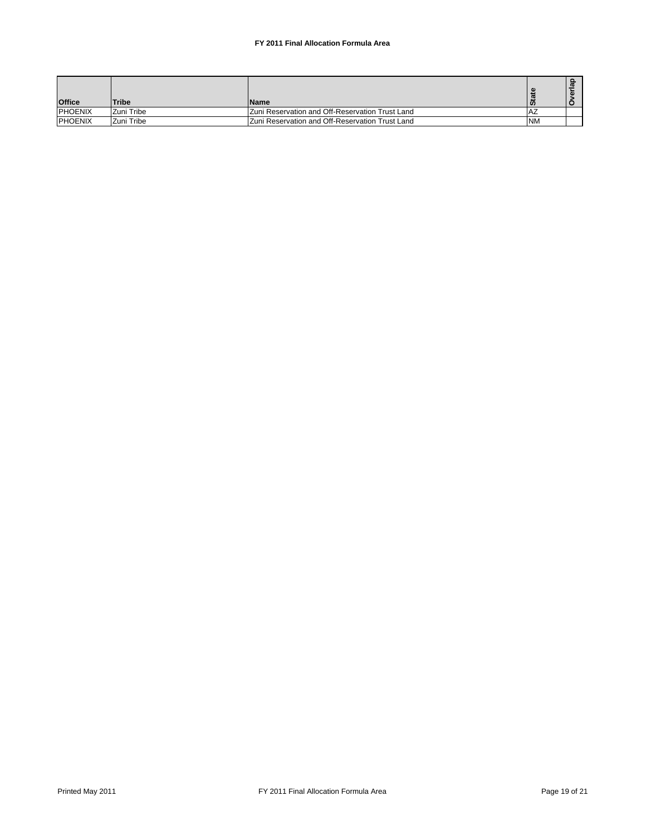| <b>Office</b>  | <b>Tribe</b> | <b>Name</b>                                     | ທ         |  |
|----------------|--------------|-------------------------------------------------|-----------|--|
| <b>PHOENIX</b> | Zuni Tribe   | Zuni Reservation and Off-Reservation Trust Land | -Az       |  |
| <b>PHOENIX</b> | Zuni Tribe   | Zuni Reservation and Off-Reservation Trust Land | <b>NM</b> |  |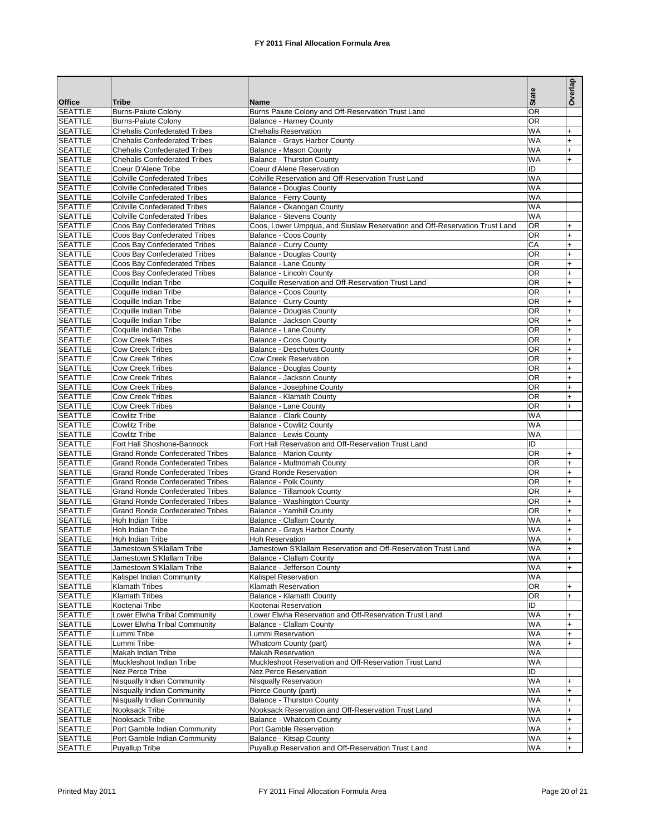| <b>Office</b>                    | Tribe                                                        | <b>Name</b>                                                                | <b>State</b>    | Overlap                          |
|----------------------------------|--------------------------------------------------------------|----------------------------------------------------------------------------|-----------------|----------------------------------|
| <b>SEATTLE</b>                   | <b>Burns-Paiute Colony</b>                                   | Burns Paiute Colony and Off-Reservation Trust Land                         | <b>OR</b>       |                                  |
| <b>SEATTLE</b>                   | <b>Burns-Paiute Colony</b>                                   | <b>Balance - Harney County</b>                                             | <b>OR</b>       |                                  |
| <b>SEATTLE</b>                   | <b>Chehalis Confederated Tribes</b>                          | <b>Chehalis Reservation</b>                                                | <b>WA</b>       | $\ddot{}$                        |
| <b>SEATTLE</b>                   | <b>Chehalis Confederated Tribes</b>                          | Balance - Grays Harbor County                                              | <b>WA</b>       | $\ddot{}$                        |
| <b>SEATTLE</b>                   | <b>Chehalis Confederated Tribes</b>                          | Balance - Mason County                                                     | <b>WA</b>       | $\ddot{}$                        |
| <b>SEATTLE</b>                   | <b>Chehalis Confederated Tribes</b>                          | <b>Balance - Thurston County</b>                                           | <b>WA</b>       | $\div$                           |
| <b>SEATTLE</b>                   | Coeur D'Alene Tribe                                          | Coeur d'Alene Reservation                                                  | ID              |                                  |
| <b>SEATTLE</b>                   | <b>Colville Confederated Tribes</b>                          | Colville Reservation and Off-Reservation Trust Land                        | <b>WA</b>       |                                  |
| <b>SEATTLE</b>                   | <b>Colville Confederated Tribes</b>                          | <b>Balance - Douglas County</b>                                            | <b>WA</b>       |                                  |
| <b>SEATTLE</b>                   | <b>Colville Confederated Tribes</b>                          | Balance - Ferry County                                                     | <b>WA</b>       |                                  |
| <b>SEATTLE</b>                   | <b>Colville Confederated Tribes</b>                          | Balance - Okanogan County                                                  | <b>WA</b>       |                                  |
| <b>SEATTLE</b>                   | <b>Colville Confederated Tribes</b>                          | <b>Balance - Stevens County</b>                                            | <b>WA</b>       |                                  |
| <b>SEATTLE</b>                   | Coos Bay Confederated Tribes                                 | Coos, Lower Umpqua, and Siuslaw Reservation and Off-Reservation Trust Land | <b>OR</b>       | $\ddot{}$                        |
| <b>SEATTLE</b>                   | Coos Bay Confederated Tribes                                 | Balance - Coos County                                                      | <b>OR</b>       | $\ddot{}$                        |
| <b>SEATTLE</b>                   | Coos Bay Confederated Tribes                                 | <b>Balance - Curry County</b>                                              | CA<br><b>OR</b> | $\ddot{}$                        |
| <b>SEATTLE</b><br><b>SEATTLE</b> | Coos Bay Confederated Tribes<br>Coos Bay Confederated Tribes | <b>Balance - Douglas County</b>                                            | <b>OR</b>       | $\ddot{}$                        |
| <b>SEATTLE</b>                   | Coos Bay Confederated Tribes                                 | Balance - Lane County<br>Balance - Lincoln County                          | <b>OR</b>       | $\ddot{}$<br>$\ddot{}$           |
| <b>SEATTLE</b>                   | Coquille Indian Tribe                                        | Coquille Reservation and Off-Reservation Trust Land                        | OR              | $\ddot{}$                        |
| <b>SEATTLE</b>                   | Coquille Indian Tribe                                        | Balance - Coos County                                                      | <b>OR</b>       | $\ddot{}$                        |
| <b>SEATTLE</b>                   | Coquille Indian Tribe                                        | <b>Balance - Curry County</b>                                              | <b>OR</b>       | $\ddot{}$                        |
| <b>SEATTLE</b>                   | Coquille Indian Tribe                                        | <b>Balance - Douglas County</b>                                            | OR              | $\ddot{}$                        |
| <b>SEATTLE</b>                   | Coquille Indian Tribe                                        | Balance - Jackson County                                                   | <b>OR</b>       | $\ddot{}$                        |
| <b>SEATTLE</b>                   | Coquille Indian Tribe                                        | Balance - Lane County                                                      | OR              | $\ddot{}$                        |
| <b>SEATTLE</b>                   | <b>Cow Creek Tribes</b>                                      | Balance - Coos County                                                      | <b>OR</b>       | $\ddot{}$                        |
| <b>SEATTLE</b>                   | <b>Cow Creek Tribes</b>                                      | <b>Balance - Deschutes County</b>                                          | OR              | $\ddot{}$                        |
| <b>SEATTLE</b>                   | <b>Cow Creek Tribes</b>                                      | Cow Creek Reservation                                                      | <b>OR</b>       | $\ddot{}$                        |
| <b>SEATTLE</b>                   | <b>Cow Creek Tribes</b>                                      | <b>Balance - Douglas County</b>                                            | <b>OR</b>       | $\ddot{}$                        |
| <b>SEATTLE</b>                   | <b>Cow Creek Tribes</b>                                      | Balance - Jackson County                                                   | <b>OR</b>       | $\ddot{}$                        |
| <b>SEATTLE</b>                   | <b>Cow Creek Tribes</b>                                      | Balance - Josephine County                                                 | <b>OR</b>       | $\ddot{}$                        |
| <b>SEATTLE</b>                   | <b>Cow Creek Tribes</b>                                      | Balance - Klamath County                                                   | <b>OR</b>       | $\ddot{}$                        |
| <b>SEATTLE</b>                   | <b>Cow Creek Tribes</b>                                      | <b>Balance - Lane County</b>                                               | <b>OR</b>       | $\div$                           |
| <b>SEATTLE</b>                   | <b>Cowlitz Tribe</b>                                         | <b>Balance - Clark County</b>                                              | <b>WA</b>       |                                  |
| <b>SEATTLE</b>                   | <b>Cowlitz Tribe</b>                                         | <b>Balance - Cowlitz County</b>                                            | <b>WA</b>       |                                  |
| <b>SEATTLE</b>                   | <b>Cowlitz Tribe</b>                                         | <b>Balance - Lewis County</b>                                              | <b>WA</b>       |                                  |
| <b>SEATTLE</b>                   | Fort Hall Shoshone-Bannock                                   | Fort Hall Reservation and Off-Reservation Trust Land                       | ID              |                                  |
| <b>SEATTLE</b>                   | <b>Grand Ronde Confederated Tribes</b>                       | <b>Balance - Marion County</b>                                             | <b>OR</b>       | $\ddot{}$                        |
| <b>SEATTLE</b>                   | <b>Grand Ronde Confederated Tribes</b>                       | Balance - Multnomah County                                                 | <b>OR</b>       | $\overline{+}$                   |
| <b>SEATTLE</b>                   | <b>Grand Ronde Confederated Tribes</b>                       | <b>Grand Ronde Reservation</b>                                             | <b>OR</b>       | $\ddot{}$                        |
| <b>SEATTLE</b>                   | <b>Grand Ronde Confederated Tribes</b>                       | <b>Balance - Polk County</b>                                               | OR              | $\ddot{}$                        |
| <b>SEATTLE</b>                   | <b>Grand Ronde Confederated Tribes</b>                       | Balance - Tillamook County                                                 | <b>OR</b>       | $\ddot{}$                        |
| <b>SEATTLE</b>                   | <b>Grand Ronde Confederated Tribes</b>                       | Balance - Washington County                                                | <b>OR</b>       | $\ddot{}$                        |
| <b>SEATTLE</b>                   | <b>Grand Ronde Confederated Tribes</b>                       | Balance - Yamhill County                                                   | <b>OR</b>       | $\begin{array}{c} + \end{array}$ |
| <b>SEATTLE</b>                   | Hoh Indian Tribe                                             | <b>Balance - Clallam County</b>                                            | <b>WA</b>       | $\ddot{}$                        |
| <b>SEATTLE</b>                   | Hoh Indian Tribe                                             | Balance - Grays Harbor County                                              | <b>WA</b>       | $\begin{array}{c} + \end{array}$ |
| <b>SEATTLE</b>                   | Hoh Indian Tribe                                             | <b>Hoh Reservation</b>                                                     | <b>WA</b>       | $\ddot{}$                        |
| <b>SEATTLE</b>                   | Jamestown S'Klallam Tribe                                    | Jamestown S'Klallam Reservation and Off-Reservation Trust Land             | WA              | I+                               |
| <b>SEATTLE</b><br><b>SEATTLE</b> | Jamestown S'Klallam Tribe<br>Jamestown S'Klallam Tribe       | Balance - Clallam County<br>Balance - Jefferson County                     | WA<br>WA        | $+$                              |
| <b>SEATTLE</b>                   | Kalispel Indian Community                                    | Kalispel Reservation                                                       | <b>WA</b>       | $\ddot{}$                        |
| <b>SEATTLE</b>                   | Klamath Tribes                                               | Klamath Reservation                                                        | $\overline{OR}$ | $+$                              |
| <b>SEATTLE</b>                   | <b>Klamath Tribes</b>                                        | Balance - Klamath County                                                   | OR              | $\ddot{}$                        |
| <b>SEATTLE</b>                   | Kootenai Tribe                                               | Kootenai Reservation                                                       | ID              |                                  |
| <b>SEATTLE</b>                   | Lower Elwha Tribal Community                                 | Lower Elwha Reservation and Off-Reservation Trust Land                     | WA              | $+$                              |
| <b>SEATTLE</b>                   | Lower Elwha Tribal Community                                 | Balance - Clallam County                                                   | WA              | $+$                              |
| <b>SEATTLE</b>                   | Lummi Tribe                                                  | Lummi Reservation                                                          | WA              | $+$                              |
| <b>SEATTLE</b>                   | Lummi Tribe                                                  | Whatcom County (part)                                                      | WA              | $\ddot{}$                        |
| <b>SEATTLE</b>                   | Makah Indian Tribe                                           | <b>Makah Reservation</b>                                                   | <b>WA</b>       |                                  |
| <b>SEATTLE</b>                   | Muckleshoot Indian Tribe                                     | Muckleshoot Reservation and Off-Reservation Trust Land                     | WA              |                                  |
| <b>SEATTLE</b>                   | Nez Perce Tribe                                              | Nez Perce Reservation                                                      | ID              |                                  |
| <b>SEATTLE</b>                   | Nisqually Indian Community                                   | <b>Nisqually Reservation</b>                                               | WA              | $+$                              |
| <b>SEATTLE</b>                   | Nisqually Indian Community                                   | Pierce County (part)                                                       | WA              | $+$                              |
| <b>SEATTLE</b>                   | Nisqually Indian Community                                   | <b>Balance - Thurston County</b>                                           | WA              | $+$                              |
| <b>SEATTLE</b>                   | Nooksack Tribe                                               | Nooksack Reservation and Off-Reservation Trust Land                        | WA              | $\ddot{}$                        |
| <b>SEATTLE</b>                   | Nooksack Tribe                                               | Balance - Whatcom County                                                   | WA              | $\begin{array}{c} + \end{array}$ |
| <b>SEATTLE</b>                   | Port Gamble Indian Community                                 | Port Gamble Reservation                                                    | WA              | $\ddot{}$                        |
| <b>SEATTLE</b>                   | Port Gamble Indian Community                                 | Balance - Kitsap County                                                    | WA              | $+$                              |
| <b>SEATTLE</b>                   | Puyallup Tribe                                               | Puyallup Reservation and Off-Reservation Trust Land                        | WA              | $+$                              |